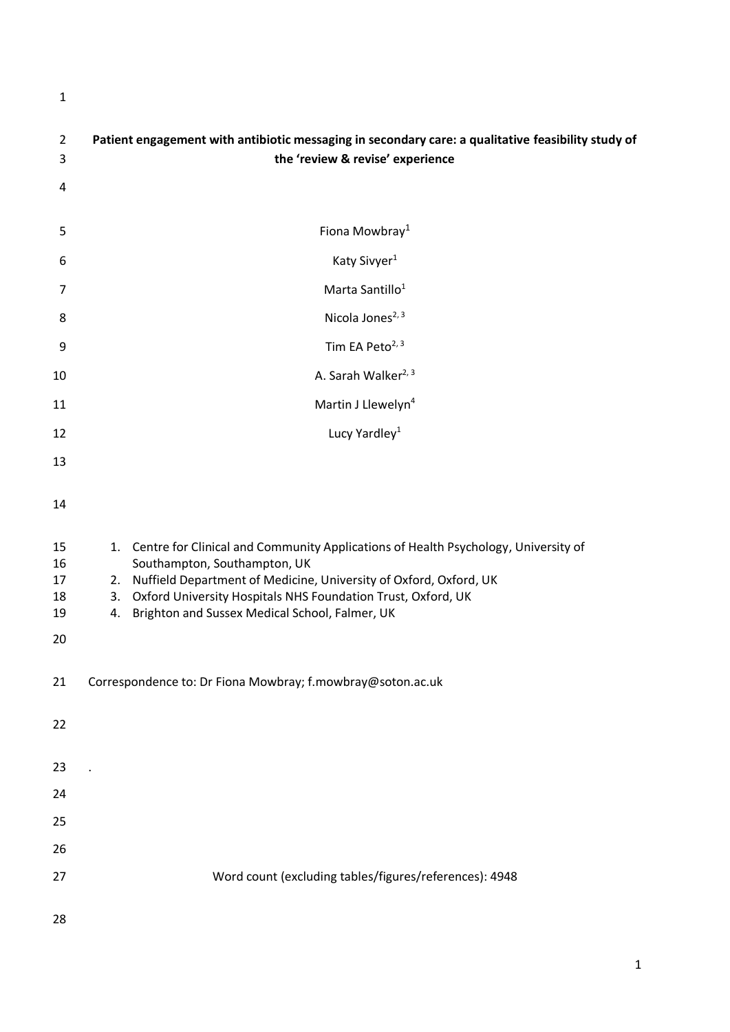| $\mathbf{1}$   |                                                                                                                                                                                                  |
|----------------|--------------------------------------------------------------------------------------------------------------------------------------------------------------------------------------------------|
| $\overline{2}$ | Patient engagement with antibiotic messaging in secondary care: a qualitative feasibility study of                                                                                               |
| 3              | the 'review & revise' experience                                                                                                                                                                 |
| $\overline{4}$ |                                                                                                                                                                                                  |
| 5              | Fiona Mowbray <sup>1</sup>                                                                                                                                                                       |
| 6              | Katy Sivyer <sup>1</sup>                                                                                                                                                                         |
| 7              | Marta Santillo <sup>1</sup>                                                                                                                                                                      |
| 8              | Nicola Jones <sup>2, 3</sup>                                                                                                                                                                     |
| 9              | Tim EA Peto <sup>2, 3</sup>                                                                                                                                                                      |
| 10             | A. Sarah Walker <sup>2, 3</sup>                                                                                                                                                                  |
| 11             | Martin J Llewelyn <sup>4</sup>                                                                                                                                                                   |
| 12             | Lucy Yardley <sup>1</sup>                                                                                                                                                                        |
| 13             |                                                                                                                                                                                                  |
| 14             |                                                                                                                                                                                                  |
| 15<br>16<br>17 | 1. Centre for Clinical and Community Applications of Health Psychology, University of<br>Southampton, Southampton, UK<br>Nuffield Department of Medicine, University of Oxford, Oxford, UK<br>2. |
| 18             | Oxford University Hospitals NHS Foundation Trust, Oxford, UK<br>3.                                                                                                                               |
| 19<br>20       | Brighton and Sussex Medical School, Falmer, UK<br>4.                                                                                                                                             |
| 21             | Correspondence to: Dr Fiona Mowbray; f.mowbray@soton.ac.uk                                                                                                                                       |
| 22             |                                                                                                                                                                                                  |
| 23             |                                                                                                                                                                                                  |
| 24             |                                                                                                                                                                                                  |
| 25             |                                                                                                                                                                                                  |
| 26             |                                                                                                                                                                                                  |
| 27             | Word count (excluding tables/figures/references): 4948                                                                                                                                           |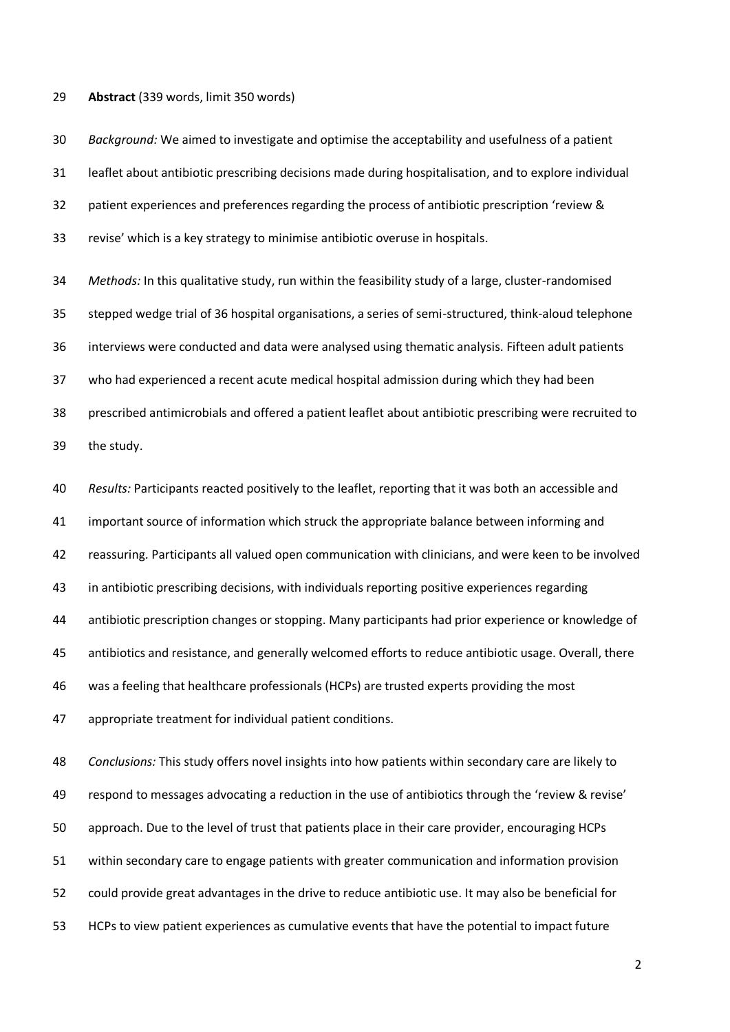#### **Abstract** (339 words, limit 350 words)

 *Background:* We aimed to investigate and optimise the acceptability and usefulness of a patient leaflet about antibiotic prescribing decisions made during hospitalisation, and to explore individual patient experiences and preferences regarding the process of antibiotic prescription 'review & revise' which is a key strategy to minimise antibiotic overuse in hospitals.

 *Methods:* In this qualitative study, run within the feasibility study of a large, cluster-randomised stepped wedge trial of 36 hospital organisations, a series of semi-structured, think-aloud telephone interviews were conducted and data were analysed using thematic analysis. Fifteen adult patients who had experienced a recent acute medical hospital admission during which they had been prescribed antimicrobials and offered a patient leaflet about antibiotic prescribing were recruited to the study.

 *Results:* Participants reacted positively to the leaflet, reporting that it was both an accessible and important source of information which struck the appropriate balance between informing and reassuring. Participants all valued open communication with clinicians, and were keen to be involved in antibiotic prescribing decisions, with individuals reporting positive experiences regarding antibiotic prescription changes or stopping. Many participants had prior experience or knowledge of antibiotics and resistance, and generally welcomed efforts to reduce antibiotic usage. Overall, there was a feeling that healthcare professionals (HCPs) are trusted experts providing the most appropriate treatment for individual patient conditions.

 *Conclusions:* This study offers novel insights into how patients within secondary care are likely to respond to messages advocating a reduction in the use of antibiotics through the 'review & revise' approach. Due to the level of trust that patients place in their care provider, encouraging HCPs within secondary care to engage patients with greater communication and information provision could provide great advantages in the drive to reduce antibiotic use. It may also be beneficial for HCPs to view patient experiences as cumulative events that have the potential to impact future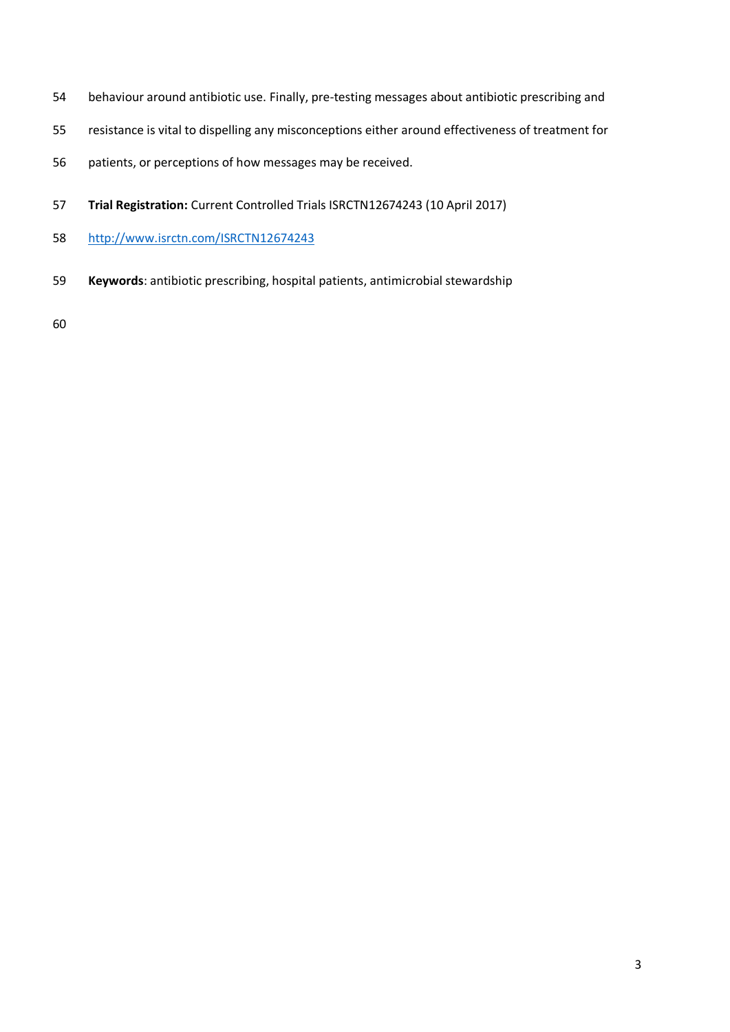- behaviour around antibiotic use. Finally, pre-testing messages about antibiotic prescribing and
- resistance is vital to dispelling any misconceptions either around effectiveness of treatment for
- patients, or perceptions of how messages may be received.
- **Trial Registration:** Current Controlled Trials ISRCTN12674243 (10 April 2017)
- <http://www.isrctn.com/ISRCTN12674243>
- **Keywords**: antibiotic prescribing, hospital patients, antimicrobial stewardship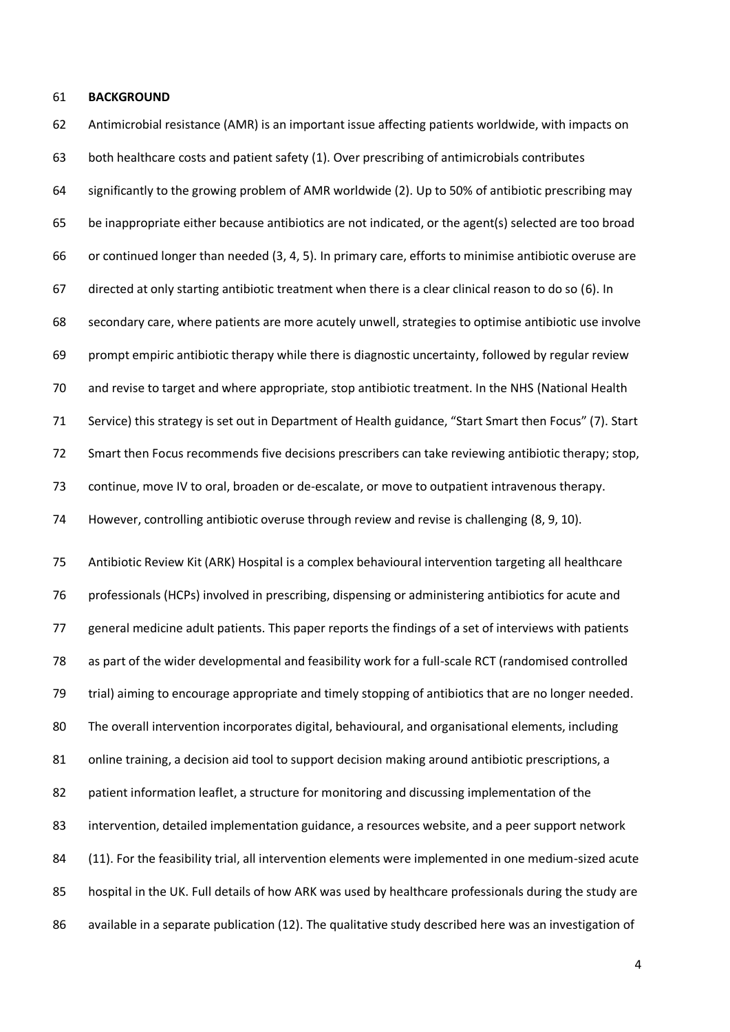#### **BACKGROUND**

 Antimicrobial resistance (AMR) is an important issue affecting patients worldwide, with impacts on both healthcare costs and patient safety (1). Over prescribing of antimicrobials contributes significantly to the growing problem of AMR worldwide (2). Up to 50% of antibiotic prescribing may be inappropriate either because antibiotics are not indicated, or the agent(s) selected are too broad or continued longer than needed (3, 4, 5). In primary care, efforts to minimise antibiotic overuse are directed at only starting antibiotic treatment when there is a clear clinical reason to do so (6). In secondary care, where patients are more acutely unwell, strategies to optimise antibiotic use involve prompt empiric antibiotic therapy while there is diagnostic uncertainty, followed by regular review and revise to target and where appropriate, stop antibiotic treatment. In the NHS (National Health Service) this strategy is set out in Department of Health guidance, "Start Smart then Focus" (7). Start Smart then Focus recommends five decisions prescribers can take reviewing antibiotic therapy; stop, continue, move IV to oral, broaden or de-escalate, or move to outpatient intravenous therapy. However, controlling antibiotic overuse through review and revise is challenging (8, 9, 10). Antibiotic Review Kit (ARK) Hospital is a complex behavioural intervention targeting all healthcare professionals (HCPs) involved in prescribing, dispensing or administering antibiotics for acute and general medicine adult patients. This paper reports the findings of a set of interviews with patients as part of the wider developmental and feasibility work for a full-scale RCT (randomised controlled trial) aiming to encourage appropriate and timely stopping of antibiotics that are no longer needed. The overall intervention incorporates digital, behavioural, and organisational elements, including online training, a decision aid tool to support decision making around antibiotic prescriptions, a patient information leaflet, a structure for monitoring and discussing implementation of the intervention, detailed implementation guidance, a resources website, and a peer support network

hospital in the UK. Full details of how ARK was used by healthcare professionals during the study are

(11). For the feasibility trial, all intervention elements were implemented in one medium-sized acute

available in a separate publication (12). The qualitative study described here was an investigation of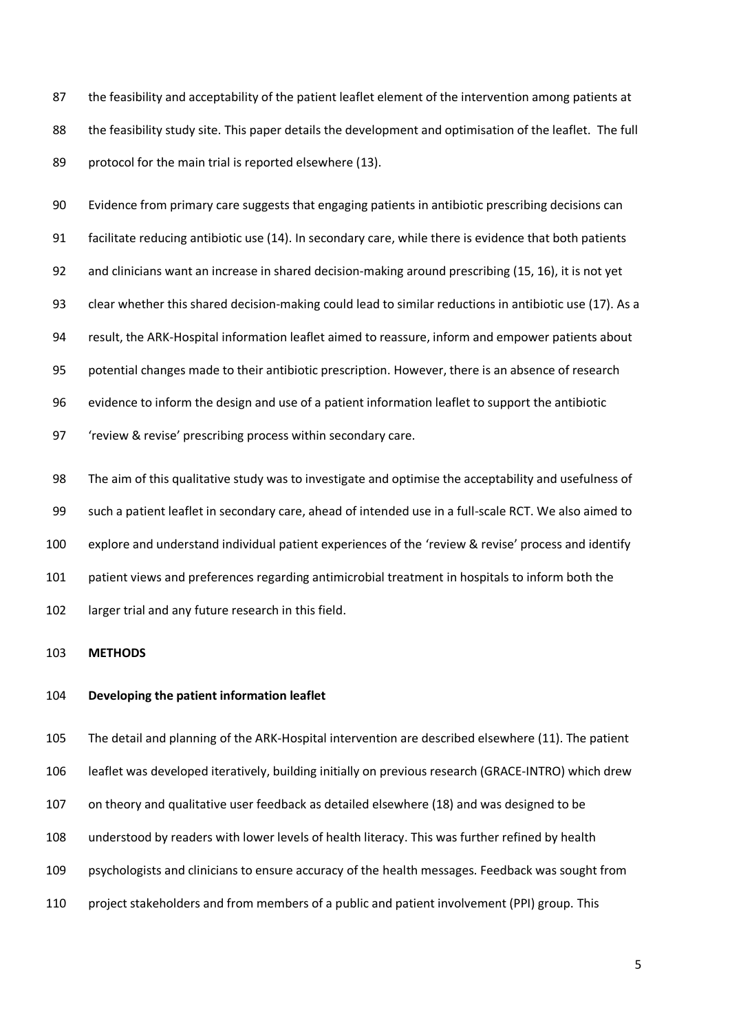the feasibility and acceptability of the patient leaflet element of the intervention among patients at the feasibility study site. This paper details the development and optimisation of the leaflet. The full 89 protocol for the main trial is reported elsewhere (13).

 Evidence from primary care suggests that engaging patients in antibiotic prescribing decisions can facilitate reducing antibiotic use (14). In secondary care, while there is evidence that both patients and clinicians want an increase in shared decision-making around prescribing (15, 16), it is not yet clear whether this shared decision-making could lead to similar reductions in antibiotic use (17). As a result, the ARK-Hospital information leaflet aimed to reassure, inform and empower patients about potential changes made to their antibiotic prescription. However, there is an absence of research evidence to inform the design and use of a patient information leaflet to support the antibiotic 'review & revise' prescribing process within secondary care.

 The aim of this qualitative study was to investigate and optimise the acceptability and usefulness of such a patient leaflet in secondary care, ahead of intended use in a full-scale RCT. We also aimed to explore and understand individual patient experiences of the 'review & revise' process and identify patient views and preferences regarding antimicrobial treatment in hospitals to inform both the larger trial and any future research in this field.

### **METHODS**

### **Developing the patient information leaflet**

 The detail and planning of the ARK-Hospital intervention are described elsewhere (11). The patient leaflet was developed iteratively, building initially on previous research (GRACE-INTRO) which drew on theory and qualitative user feedback as detailed elsewhere (18) and was designed to be understood by readers with lower levels of health literacy. This was further refined by health psychologists and clinicians to ensure accuracy of the health messages. Feedback was sought from project stakeholders and from members of a public and patient involvement (PPI) group. This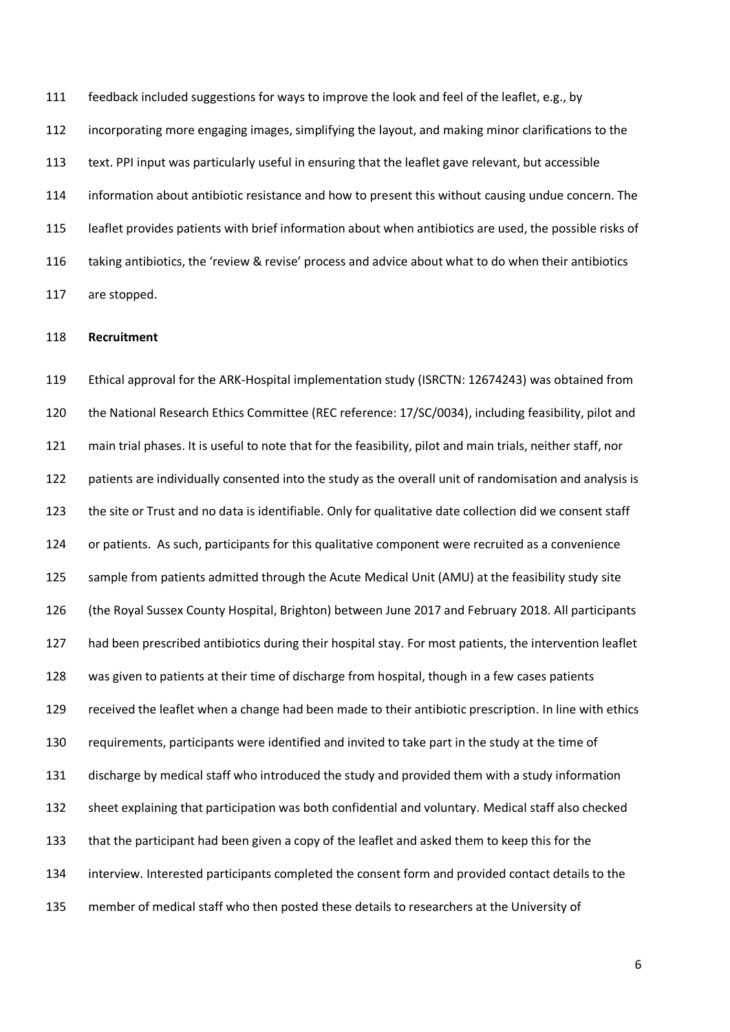feedback included suggestions for ways to improve the look and feel of the leaflet, e.g., by incorporating more engaging images, simplifying the layout, and making minor clarifications to the text. PPI input was particularly useful in ensuring that the leaflet gave relevant, but accessible information about antibiotic resistance and how to present this without causing undue concern. The leaflet provides patients with brief information about when antibiotics are used, the possible risks of taking antibiotics, the 'review & revise' process and advice about what to do when their antibiotics are stopped.

#### **Recruitment**

 Ethical approval for the ARK-Hospital implementation study (ISRCTN: 12674243) was obtained from the National Research Ethics Committee (REC reference: 17/SC/0034), including feasibility, pilot and main trial phases. It is useful to note that for the feasibility, pilot and main trials, neither staff, nor patients are individually consented into the study as the overall unit of randomisation and analysis is the site or Trust and no data is identifiable. Only for qualitative date collection did we consent staff or patients. As such, participants for this qualitative component were recruited as a convenience sample from patients admitted through the Acute Medical Unit (AMU) at the feasibility study site (the Royal Sussex County Hospital, Brighton) between June 2017 and February 2018. All participants had been prescribed antibiotics during their hospital stay. For most patients, the intervention leaflet was given to patients at their time of discharge from hospital, though in a few cases patients received the leaflet when a change had been made to their antibiotic prescription. In line with ethics requirements, participants were identified and invited to take part in the study at the time of discharge by medical staff who introduced the study and provided them with a study information sheet explaining that participation was both confidential and voluntary. Medical staff also checked that the participant had been given a copy of the leaflet and asked them to keep this for the interview. Interested participants completed the consent form and provided contact details to the member of medical staff who then posted these details to researchers at the University of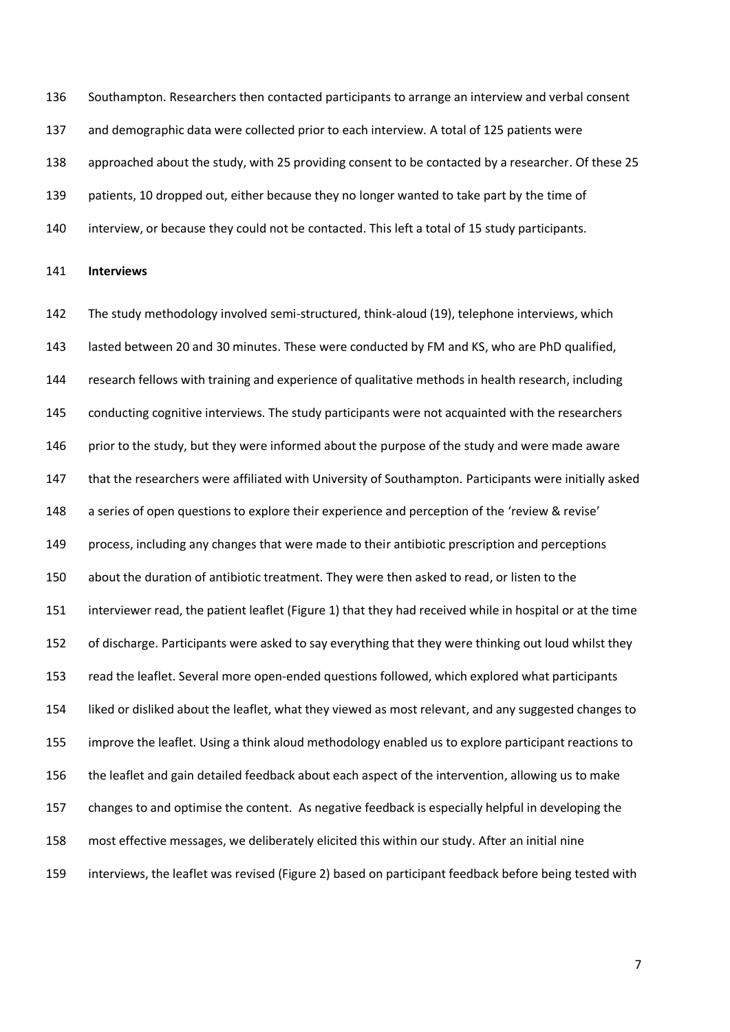Southampton. Researchers then contacted participants to arrange an interview and verbal consent and demographic data were collected prior to each interview. A total of 125 patients were approached about the study, with 25 providing consent to be contacted by a researcher. Of these 25 139 patients, 10 dropped out, either because they no longer wanted to take part by the time of interview, or because they could not be contacted. This left a total of 15 study participants.

**Interviews**

 The study methodology involved semi-structured, think-aloud (19), telephone interviews, which lasted between 20 and 30 minutes. These were conducted by FM and KS, who are PhD qualified, research fellows with training and experience of qualitative methods in health research, including conducting cognitive interviews. The study participants were not acquainted with the researchers 146 prior to the study, but they were informed about the purpose of the study and were made aware that the researchers were affiliated with University of Southampton. Participants were initially asked a series of open questions to explore their experience and perception of the 'review & revise' 149 process, including any changes that were made to their antibiotic prescription and perceptions about the duration of antibiotic treatment. They were then asked to read, or listen to the interviewer read, the patient leaflet (Figure 1) that they had received while in hospital or at the time of discharge. Participants were asked to say everything that they were thinking out loud whilst they read the leaflet. Several more open-ended questions followed, which explored what participants liked or disliked about the leaflet, what they viewed as most relevant, and any suggested changes to improve the leaflet. Using a think aloud methodology enabled us to explore participant reactions to the leaflet and gain detailed feedback about each aspect of the intervention, allowing us to make changes to and optimise the content. As negative feedback is especially helpful in developing the most effective messages, we deliberately elicited this within our study. After an initial nine interviews, the leaflet was revised (Figure 2) based on participant feedback before being tested with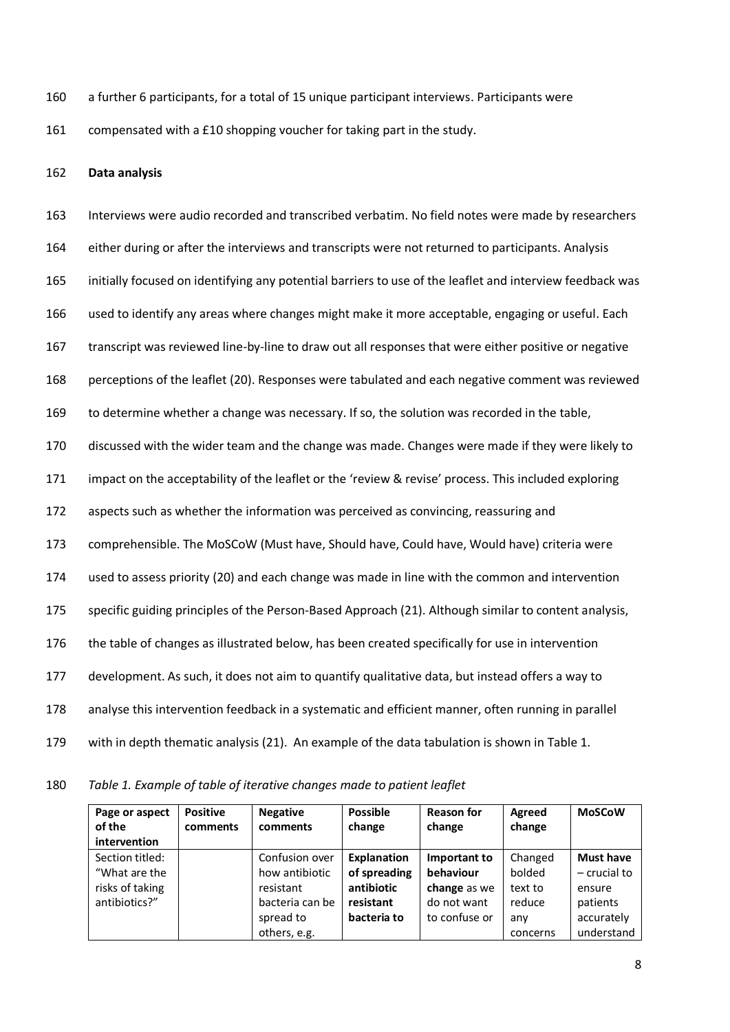160 a further 6 participants, for a total of 15 unique participant interviews. Participants were

161 compensated with a £10 shopping voucher for taking part in the study.

#### 162 **Data analysis**

 Interviews were audio recorded and transcribed verbatim. No field notes were made by researchers either during or after the interviews and transcripts were not returned to participants. Analysis initially focused on identifying any potential barriers to use of the leaflet and interview feedback was used to identify any areas where changes might make it more acceptable, engaging or useful. Each transcript was reviewed line-by-line to draw out all responses that were either positive or negative perceptions of the leaflet (20). Responses were tabulated and each negative comment was reviewed to determine whether a change was necessary. If so, the solution was recorded in the table, discussed with the wider team and the change was made. Changes were made if they were likely to impact on the acceptability of the leaflet or the 'review & revise' process. This included exploring aspects such as whether the information was perceived as convincing, reassuring and comprehensible. The MoSCoW (Must have, Should have, Could have, Would have) criteria were used to assess priority (20) and each change was made in line with the common and intervention specific guiding principles of the Person-Based Approach (21). Although similar to content analysis, the table of changes as illustrated below, has been created specifically for use in intervention development. As such, it does not aim to quantify qualitative data, but instead offers a way to analyse this intervention feedback in a systematic and efficient manner, often running in parallel with in depth thematic analysis (21). An example of the data tabulation is shown in Table 1.

#### 180 *Table 1. Example of table of iterative changes made to patient leaflet*

| Page or aspect<br>of the<br>intervention | <b>Positive</b><br>comments | <b>Negative</b><br>comments | <b>Possible</b><br>change | <b>Reason for</b><br>change | Agreed<br>change | <b>MoSCoW</b>    |
|------------------------------------------|-----------------------------|-----------------------------|---------------------------|-----------------------------|------------------|------------------|
| Section titled:                          |                             | Confusion over              | Explanation               | Important to                | Changed          | <b>Must have</b> |
| "What are the                            |                             | how antibiotic              | of spreading              | behaviour                   | bolded           | $-$ crucial to   |
| risks of taking                          |                             | resistant                   | antibiotic                | change as we                | text to          | ensure           |
| antibiotics?"                            |                             | bacteria can be             | resistant                 | do not want                 | reduce           | patients         |
|                                          |                             | spread to                   | bacteria to               | to confuse or               | any              | accurately       |
|                                          |                             | others, e.g.                |                           |                             | concerns         | understand       |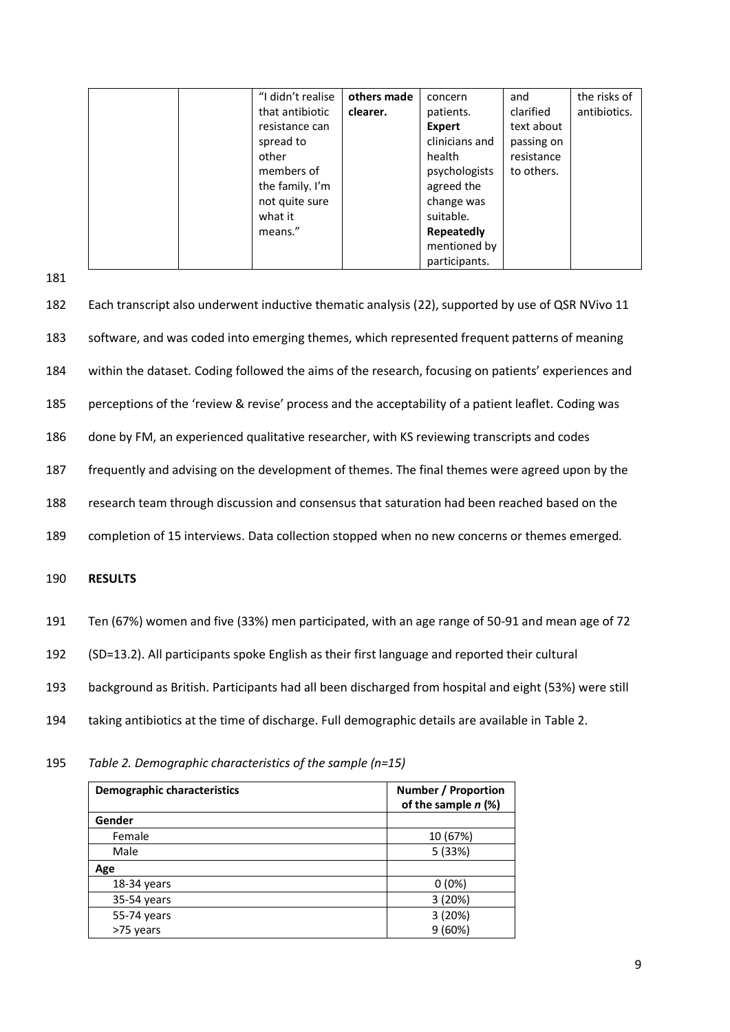| "I didn't realise | others made | concern        | and        | the risks of |
|-------------------|-------------|----------------|------------|--------------|
| that antibiotic   | clearer.    | patients.      | clarified  | antibiotics. |
| resistance can    |             | Expert         | text about |              |
| spread to         |             | clinicians and | passing on |              |
| other             |             | health         | resistance |              |
| members of        |             | psychologists  | to others. |              |
| the family. I'm   |             | agreed the     |            |              |
| not quite sure    |             | change was     |            |              |
| what it           |             | suitable.      |            |              |
| means."           |             | Repeatedly     |            |              |
|                   |             | mentioned by   |            |              |
|                   |             | participants.  |            |              |

181

 Each transcript also underwent inductive thematic analysis (22), supported by use of QSR NVivo 11 software, and was coded into emerging themes, which represented frequent patterns of meaning within the dataset. Coding followed the aims of the research, focusing on patients' experiences and perceptions of the 'review & revise' process and the acceptability of a patient leaflet. Coding was done by FM, an experienced qualitative researcher, with KS reviewing transcripts and codes frequently and advising on the development of themes. The final themes were agreed upon by the research team through discussion and consensus that saturation had been reached based on the completion of 15 interviews. Data collection stopped when no new concerns or themes emerged. 190 **RESULTS** Ten (67%) women and five (33%) men participated, with an age range of 50-91 and mean age of 72 (SD=13.2). All participants spoke English as their first language and reported their cultural background as British. Participants had all been discharged from hospital and eight (53%) were still taking antibiotics at the time of discharge. Full demographic details are available in Table 2.

- **Demographic characteristics Number / Proportion of the sample** *n* **(%) Gender**  Female 10 (67%) Male 5 (33%) **Age**  18-34 years 0 (0%) 35-54 years 3 (20%) 55-74 years >75 years 3 (20%) 9 (60%)
- 195 *Table 2. Demographic characteristics of the sample (n=15)*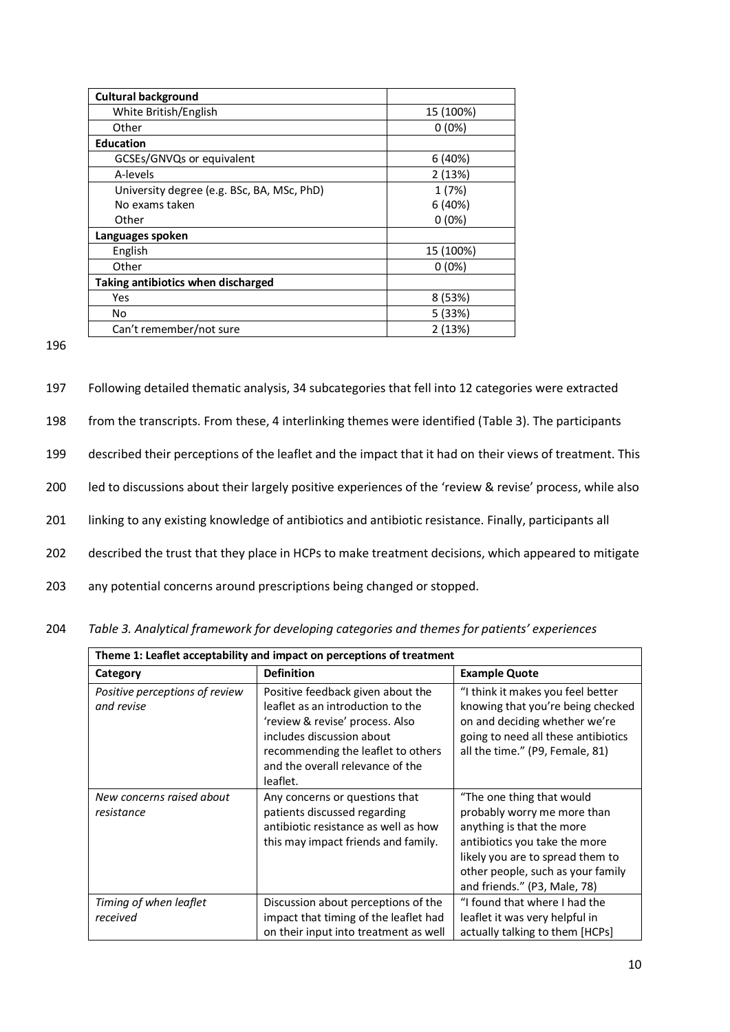| <b>Cultural background</b>                 |           |  |  |  |
|--------------------------------------------|-----------|--|--|--|
| White British/English                      | 15 (100%) |  |  |  |
| Other                                      | $0(0\%)$  |  |  |  |
| <b>Education</b>                           |           |  |  |  |
| GCSEs/GNVQs or equivalent                  | 6(40%)    |  |  |  |
| A-levels                                   | 2(13%)    |  |  |  |
| University degree (e.g. BSc, BA, MSc, PhD) | 1(7%)     |  |  |  |
| No exams taken                             | 6(40%)    |  |  |  |
| Other                                      | $0(0\%)$  |  |  |  |
| Languages spoken                           |           |  |  |  |
| English                                    | 15 (100%) |  |  |  |
| Other                                      | $0(0\%)$  |  |  |  |
| Taking antibiotics when discharged         |           |  |  |  |
| Yes                                        | 8(53%)    |  |  |  |
| No                                         | 5(33%)    |  |  |  |
| Can't remember/not sure                    | 2(13%)    |  |  |  |

196

197 Following detailed thematic analysis, 34 subcategories that fell into 12 categories were extracted

198 from the transcripts. From these, 4 interlinking themes were identified (Table 3). The participants

199 described their perceptions of the leaflet and the impact that it had on their views of treatment. This

200 led to discussions about their largely positive experiences of the 'review & revise' process, while also

201 linking to any existing knowledge of antibiotics and antibiotic resistance. Finally, participants all

202 described the trust that they place in HCPs to make treatment decisions, which appeared to mitigate

203 any potential concerns around prescriptions being changed or stopped.

| 204 |  |  |  |  | Table 3. Analytical framework for developing categories and themes for patients' experiences |  |
|-----|--|--|--|--|----------------------------------------------------------------------------------------------|--|
|-----|--|--|--|--|----------------------------------------------------------------------------------------------|--|

| Theme 1: Leaflet acceptability and impact on perceptions of treatment |                                                                                                                                                                                                                              |                                                                                                                                                                                                                                 |  |  |  |
|-----------------------------------------------------------------------|------------------------------------------------------------------------------------------------------------------------------------------------------------------------------------------------------------------------------|---------------------------------------------------------------------------------------------------------------------------------------------------------------------------------------------------------------------------------|--|--|--|
| Category                                                              | <b>Definition</b>                                                                                                                                                                                                            | <b>Example Quote</b>                                                                                                                                                                                                            |  |  |  |
| Positive perceptions of review<br>and revise                          | Positive feedback given about the<br>leaflet as an introduction to the<br>'review & revise' process. Also<br>includes discussion about<br>recommending the leaflet to others<br>and the overall relevance of the<br>leaflet. | "I think it makes you feel better<br>knowing that you're being checked<br>on and deciding whether we're<br>going to need all these antibiotics<br>all the time." (P9, Female, 81)                                               |  |  |  |
| New concerns raised about<br>resistance                               | Any concerns or questions that<br>patients discussed regarding<br>antibiotic resistance as well as how<br>this may impact friends and family.                                                                                | "The one thing that would<br>probably worry me more than<br>anything is that the more<br>antibiotics you take the more<br>likely you are to spread them to<br>other people, such as your family<br>and friends." (P3, Male, 78) |  |  |  |
| Timing of when leaflet<br>received                                    | Discussion about perceptions of the<br>impact that timing of the leaflet had<br>on their input into treatment as well                                                                                                        | "I found that where I had the<br>leaflet it was very helpful in<br>actually talking to them [HCPs]                                                                                                                              |  |  |  |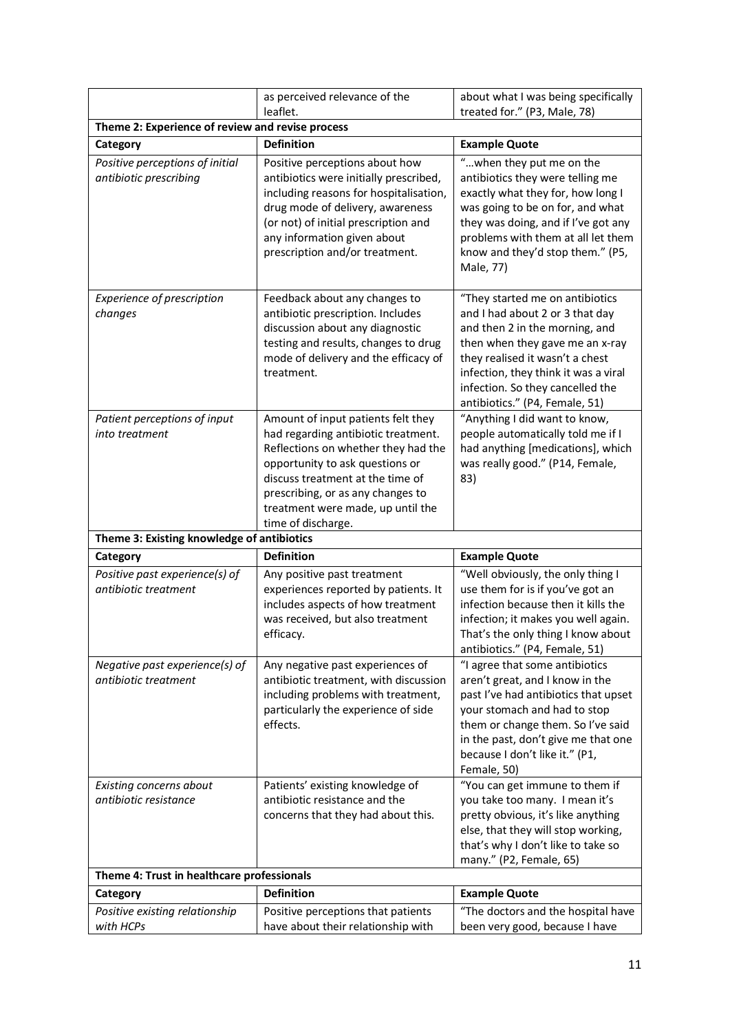|                                                           | as perceived relevance of the                                                                                                                                                                                                                                                           | about what I was being specifically                                                                                                                                                                                                                                                      |  |  |  |  |
|-----------------------------------------------------------|-----------------------------------------------------------------------------------------------------------------------------------------------------------------------------------------------------------------------------------------------------------------------------------------|------------------------------------------------------------------------------------------------------------------------------------------------------------------------------------------------------------------------------------------------------------------------------------------|--|--|--|--|
| Theme 2: Experience of review and revise process          | leaflet.                                                                                                                                                                                                                                                                                | treated for." (P3, Male, 78)                                                                                                                                                                                                                                                             |  |  |  |  |
| Category                                                  | <b>Definition</b>                                                                                                                                                                                                                                                                       | <b>Example Quote</b>                                                                                                                                                                                                                                                                     |  |  |  |  |
| Positive perceptions of initial<br>antibiotic prescribing | Positive perceptions about how<br>antibiotics were initially prescribed,<br>including reasons for hospitalisation,<br>drug mode of delivery, awareness<br>(or not) of initial prescription and<br>any information given about<br>prescription and/or treatment.                         | "when they put me on the<br>antibiotics they were telling me<br>exactly what they for, how long I<br>was going to be on for, and what<br>they was doing, and if I've got any<br>problems with them at all let them<br>know and they'd stop them." (P5,<br>Male, 77)                      |  |  |  |  |
| Experience of prescription<br>changes                     | Feedback about any changes to<br>antibiotic prescription. Includes<br>discussion about any diagnostic<br>testing and results, changes to drug<br>mode of delivery and the efficacy of<br>treatment.                                                                                     | "They started me on antibiotics<br>and I had about 2 or 3 that day<br>and then 2 in the morning, and<br>then when they gave me an x-ray<br>they realised it wasn't a chest<br>infection, they think it was a viral<br>infection. So they cancelled the<br>antibiotics." (P4, Female, 51) |  |  |  |  |
| Patient perceptions of input<br>into treatment            | Amount of input patients felt they<br>had regarding antibiotic treatment.<br>Reflections on whether they had the<br>opportunity to ask questions or<br>discuss treatment at the time of<br>prescribing, or as any changes to<br>treatment were made, up until the<br>time of discharge. | "Anything I did want to know,<br>people automatically told me if I<br>had anything [medications], which<br>was really good." (P14, Female,<br>83)                                                                                                                                        |  |  |  |  |
| Theme 3: Existing knowledge of antibiotics                |                                                                                                                                                                                                                                                                                         |                                                                                                                                                                                                                                                                                          |  |  |  |  |
| Category                                                  | <b>Definition</b>                                                                                                                                                                                                                                                                       | <b>Example Quote</b>                                                                                                                                                                                                                                                                     |  |  |  |  |
| Positive past experience(s) of<br>antibiotic treatment    | Any positive past treatment<br>experiences reported by patients. It<br>includes aspects of how treatment<br>was received, but also treatment<br>efficacy.                                                                                                                               | "Well obviously, the only thing I<br>use them for is if you've got an<br>infection because then it kills the<br>infection; it makes you well again.<br>That's the only thing I know about<br>antibiotics." (P4, Female, 51)                                                              |  |  |  |  |
| Negative past experience(s) of<br>antibiotic treatment    | Any negative past experiences of<br>antibiotic treatment, with discussion<br>including problems with treatment,<br>particularly the experience of side<br>effects.                                                                                                                      | "I agree that some antibiotics<br>aren't great, and I know in the<br>past I've had antibiotics that upset<br>your stomach and had to stop<br>them or change them. So I've said<br>in the past, don't give me that one<br>because I don't like it." (P1,<br>Female, 50)                   |  |  |  |  |
| Existing concerns about<br>antibiotic resistance          | Patients' existing knowledge of<br>antibiotic resistance and the<br>concerns that they had about this.                                                                                                                                                                                  | "You can get immune to them if<br>you take too many. I mean it's<br>pretty obvious, it's like anything<br>else, that they will stop working,<br>that's why I don't like to take so<br>many." (P2, Female, 65)                                                                            |  |  |  |  |
| Theme 4: Trust in healthcare professionals                |                                                                                                                                                                                                                                                                                         |                                                                                                                                                                                                                                                                                          |  |  |  |  |
| Category                                                  | <b>Definition</b>                                                                                                                                                                                                                                                                       | <b>Example Quote</b>                                                                                                                                                                                                                                                                     |  |  |  |  |
| Positive existing relationship<br>with HCPs               | Positive perceptions that patients<br>have about their relationship with                                                                                                                                                                                                                | "The doctors and the hospital have<br>been very good, because I have                                                                                                                                                                                                                     |  |  |  |  |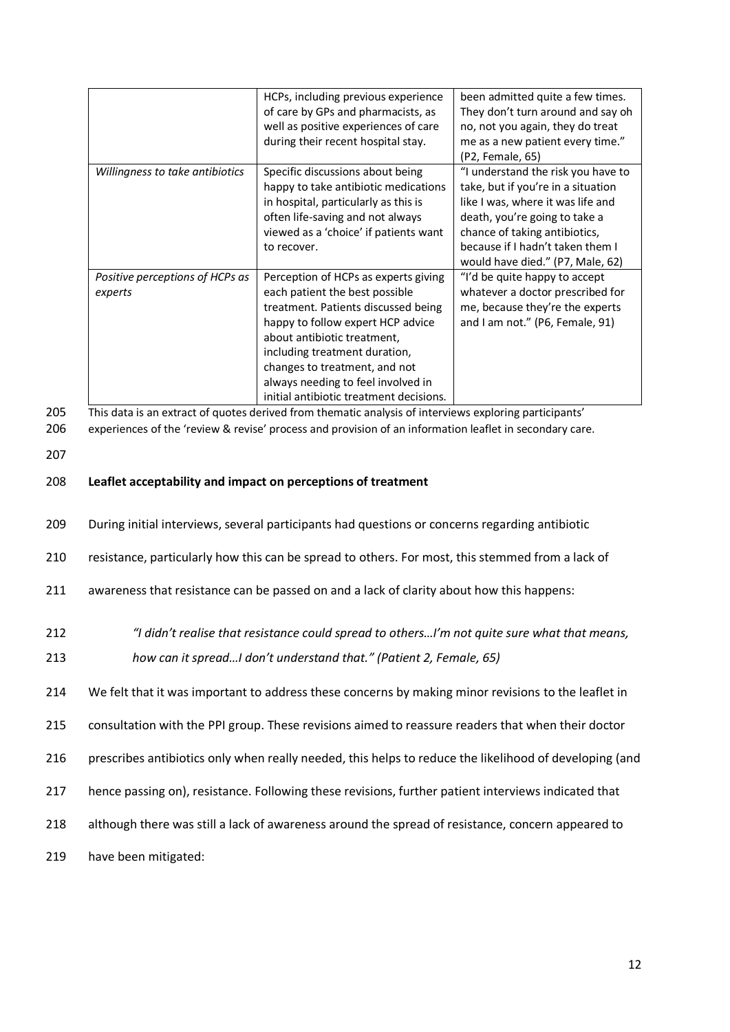|                                            | HCPs, including previous experience<br>of care by GPs and pharmacists, as<br>well as positive experiences of care<br>during their recent hospital stay.                                                                                                                                                                              | been admitted quite a few times.<br>They don't turn around and say oh<br>no, not you again, they do treat<br>me as a new patient every time."<br>(P2, Female, 65)                                                                                       |
|--------------------------------------------|--------------------------------------------------------------------------------------------------------------------------------------------------------------------------------------------------------------------------------------------------------------------------------------------------------------------------------------|---------------------------------------------------------------------------------------------------------------------------------------------------------------------------------------------------------------------------------------------------------|
| Willingness to take antibiotics            | Specific discussions about being<br>happy to take antibiotic medications<br>in hospital, particularly as this is<br>often life-saving and not always<br>viewed as a 'choice' if patients want<br>to recover.                                                                                                                         | "I understand the risk you have to<br>take, but if you're in a situation<br>like I was, where it was life and<br>death, you're going to take a<br>chance of taking antibiotics,<br>because if I hadn't taken them I<br>would have died." (P7, Male, 62) |
| Positive perceptions of HCPs as<br>experts | Perception of HCPs as experts giving<br>each patient the best possible<br>treatment. Patients discussed being<br>happy to follow expert HCP advice<br>about antibiotic treatment,<br>including treatment duration,<br>changes to treatment, and not<br>always needing to feel involved in<br>initial antibiotic treatment decisions. | "I'd be quite happy to accept<br>whatever a doctor prescribed for<br>me, because they're the experts<br>and I am not." (P6, Female, 91)                                                                                                                 |

205 This data is an extract of quotes derived from thematic analysis of interviews exploring participants'

206 experiences of the 'review & revise' process and provision of an information leaflet in secondary care.

207

### 208 **Leaflet acceptability and impact on perceptions of treatment**

- 209 During initial interviews, several participants had questions or concerns regarding antibiotic
- 210 resistance, particularly how this can be spread to others. For most, this stemmed from a lack of
- 211 awareness that resistance can be passed on and a lack of clarity about how this happens:

### 212 *"I didn't realise that resistance could spread to others…I'm not quite sure what that means,*

- 213 *how can it spread…I don't understand that." (Patient 2, Female, 65)*
- 214 We felt that it was important to address these concerns by making minor revisions to the leaflet in

215 consultation with the PPI group. These revisions aimed to reassure readers that when their doctor

- 216 prescribes antibiotics only when really needed, this helps to reduce the likelihood of developing (and
- 217 hence passing on), resistance. Following these revisions, further patient interviews indicated that
- 218 although there was still a lack of awareness around the spread of resistance, concern appeared to
- 219 have been mitigated: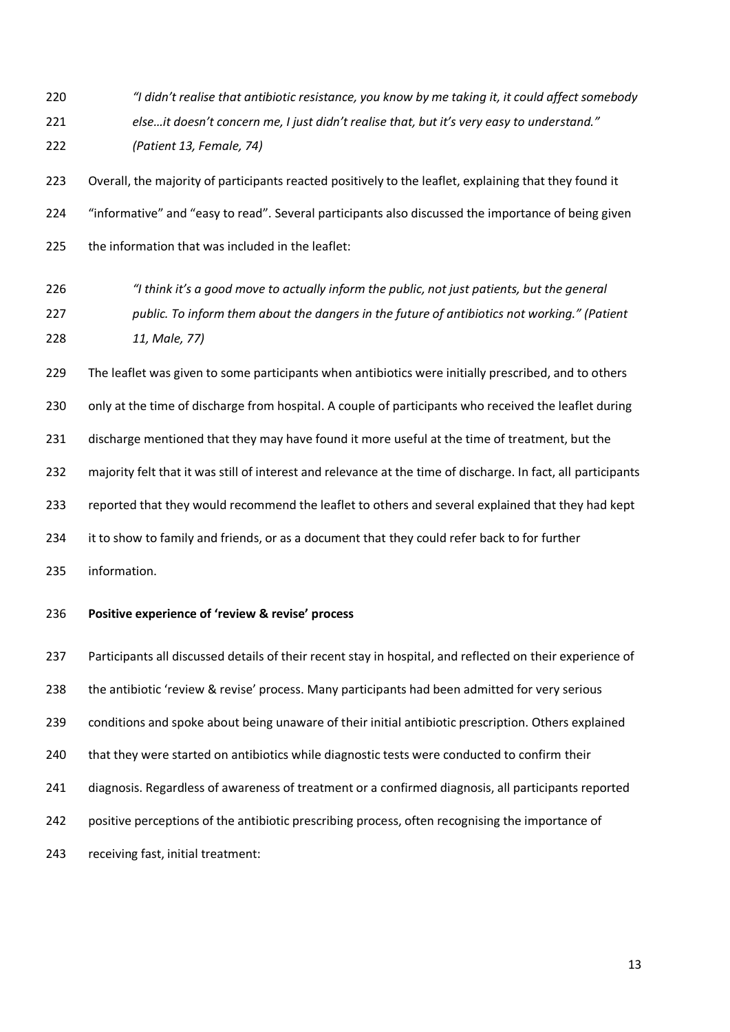*"I didn't realise that antibiotic resistance, you know by me taking it, it could affect somebody else…it doesn't concern me, I just didn't realise that, but it's very easy to understand." (Patient 13, Female, 74)*

223 Overall, the majority of participants reacted positively to the leaflet, explaining that they found it "informative" and "easy to read". Several participants also discussed the importance of being given the information that was included in the leaflet:

- *"I think it's a good move to actually inform the public, not just patients, but the general public. To inform them about the dangers in the future of antibiotics not working." (Patient 11, Male, 77)*
- 229 The leaflet was given to some participants when antibiotics were initially prescribed, and to others 230 only at the time of discharge from hospital. A couple of participants who received the leaflet during discharge mentioned that they may have found it more useful at the time of treatment, but the 232 majority felt that it was still of interest and relevance at the time of discharge. In fact, all participants reported that they would recommend the leaflet to others and several explained that they had kept it to show to family and friends, or as a document that they could refer back to for further information.

### **Positive experience of 'review & revise' process**

 Participants all discussed details of their recent stay in hospital, and reflected on their experience of 238 the antibiotic 'review & revise' process. Many participants had been admitted for very serious conditions and spoke about being unaware of their initial antibiotic prescription. Others explained 240 that they were started on antibiotics while diagnostic tests were conducted to confirm their diagnosis. Regardless of awareness of treatment or a confirmed diagnosis, all participants reported 242 positive perceptions of the antibiotic prescribing process, often recognising the importance of receiving fast, initial treatment: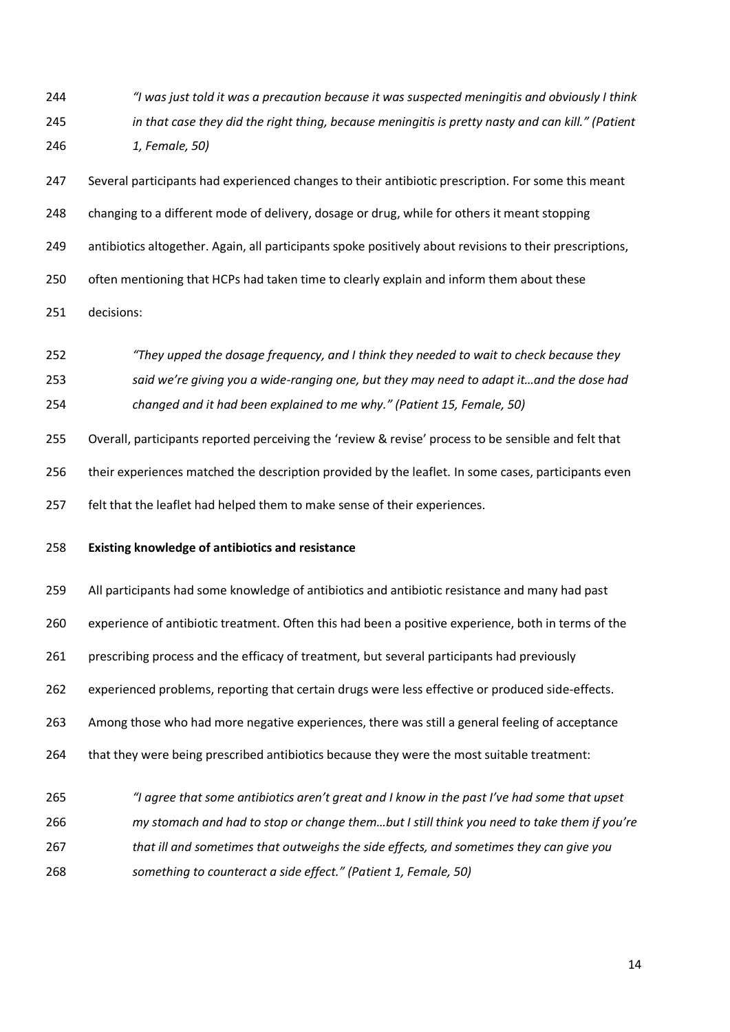*"I was just told it was a precaution because it was suspected meningitis and obviously I think in that case they did the right thing, because meningitis is pretty nasty and can kill." (Patient 1, Female, 50)*

Several participants had experienced changes to their antibiotic prescription. For some this meant

changing to a different mode of delivery, dosage or drug, while for others it meant stopping

antibiotics altogether. Again, all participants spoke positively about revisions to their prescriptions,

250 often mentioning that HCPs had taken time to clearly explain and inform them about these

decisions:

 *"They upped the dosage frequency, and I think they needed to wait to check because they said we're giving you a wide-ranging one, but they may need to adapt it…and the dose had changed and it had been explained to me why." (Patient 15, Female, 50)*

Overall, participants reported perceiving the 'review & revise' process to be sensible and felt that

their experiences matched the description provided by the leaflet. In some cases, participants even

felt that the leaflet had helped them to make sense of their experiences.

### **Existing knowledge of antibiotics and resistance**

All participants had some knowledge of antibiotics and antibiotic resistance and many had past

experience of antibiotic treatment. Often this had been a positive experience, both in terms of the

prescribing process and the efficacy of treatment, but several participants had previously

experienced problems, reporting that certain drugs were less effective or produced side-effects.

Among those who had more negative experiences, there was still a general feeling of acceptance

that they were being prescribed antibiotics because they were the most suitable treatment:

- *"I agree that some antibiotics aren't great and I know in the past I've had some that upset*
- 

 *my stomach and had to stop or change them…but I still think you need to take them if you're that ill and sometimes that outweighs the side effects, and sometimes they can give you something to counteract a side effect." (Patient 1, Female, 50)*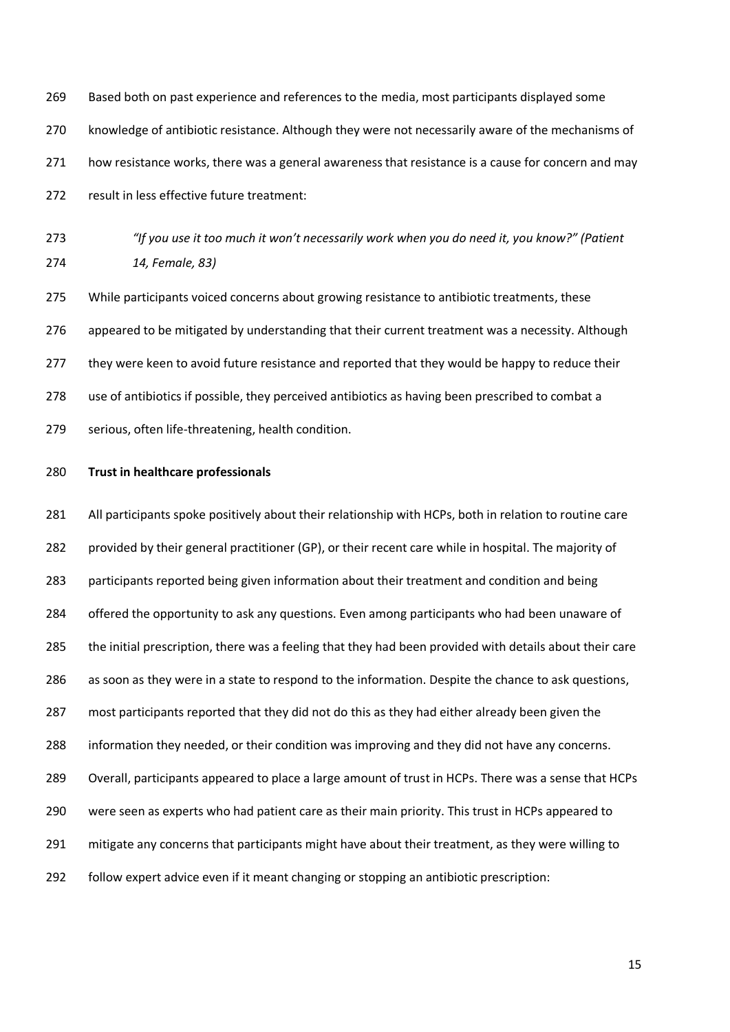Based both on past experience and references to the media, most participants displayed some knowledge of antibiotic resistance. Although they were not necessarily aware of the mechanisms of how resistance works, there was a general awareness that resistance is a cause for concern and may result in less effective future treatment:

 *"If you use it too much it won't necessarily work when you do need it, you know?" (Patient 14, Female, 83)*

275 While participants voiced concerns about growing resistance to antibiotic treatments, these 276 appeared to be mitigated by understanding that their current treatment was a necessity. Although 277 they were keen to avoid future resistance and reported that they would be happy to reduce their use of antibiotics if possible, they perceived antibiotics as having been prescribed to combat a serious, often life-threatening, health condition.

### **Trust in healthcare professionals**

 All participants spoke positively about their relationship with HCPs, both in relation to routine care provided by their general practitioner (GP), or their recent care while in hospital. The majority of participants reported being given information about their treatment and condition and being offered the opportunity to ask any questions. Even among participants who had been unaware of the initial prescription, there was a feeling that they had been provided with details about their care as soon as they were in a state to respond to the information. Despite the chance to ask questions, most participants reported that they did not do this as they had either already been given the information they needed, or their condition was improving and they did not have any concerns. Overall, participants appeared to place a large amount of trust in HCPs. There was a sense that HCPs were seen as experts who had patient care as their main priority. This trust in HCPs appeared to mitigate any concerns that participants might have about their treatment, as they were willing to follow expert advice even if it meant changing or stopping an antibiotic prescription: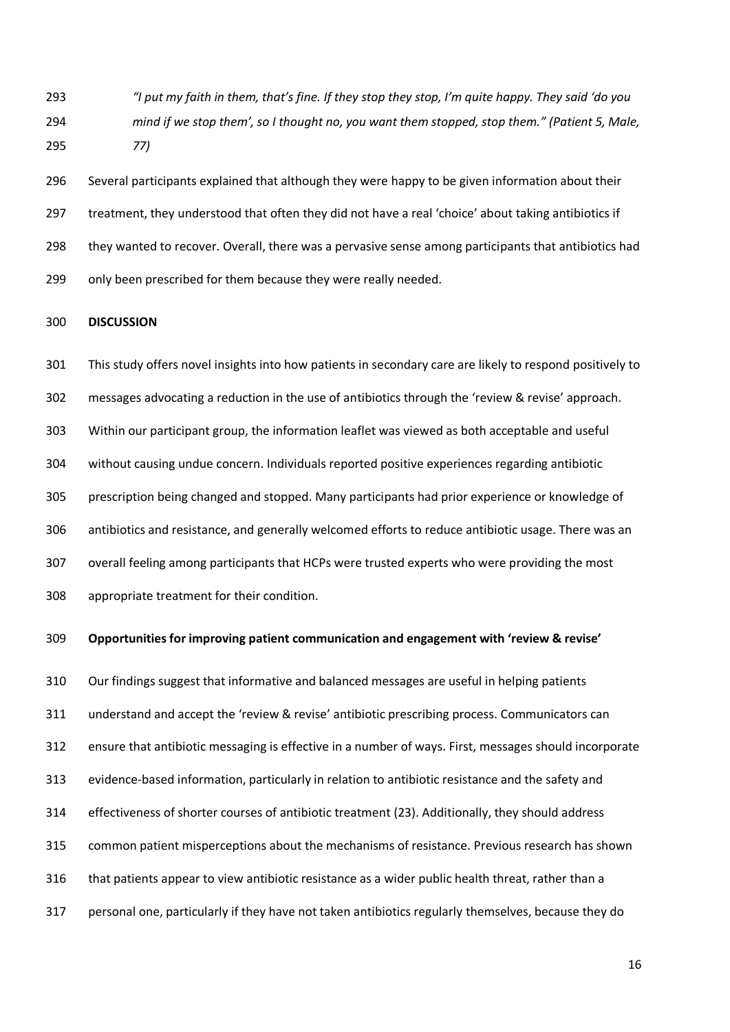*"I put my faith in them, that's fine. If they stop they stop, I'm quite happy. They said 'do you mind if we stop them', so I thought no, you want them stopped, stop them." (Patient 5, Male, 77)*

 Several participants explained that although they were happy to be given information about their treatment, they understood that often they did not have a real 'choice' about taking antibiotics if they wanted to recover. Overall, there was a pervasive sense among participants that antibiotics had 299 only been prescribed for them because they were really needed.

# **DISCUSSION**

 This study offers novel insights into how patients in secondary care are likely to respond positively to messages advocating a reduction in the use of antibiotics through the 'review & revise' approach. Within our participant group, the information leaflet was viewed as both acceptable and useful without causing undue concern. Individuals reported positive experiences regarding antibiotic prescription being changed and stopped. Many participants had prior experience or knowledge of antibiotics and resistance, and generally welcomed efforts to reduce antibiotic usage. There was an overall feeling among participants that HCPs were trusted experts who were providing the most appropriate treatment for their condition.

#### **Opportunities for improving patient communication and engagement with 'review & revise'**

 Our findings suggest that informative and balanced messages are useful in helping patients understand and accept the 'review & revise' antibiotic prescribing process. Communicators can ensure that antibiotic messaging is effective in a number of ways. First, messages should incorporate evidence-based information, particularly in relation to antibiotic resistance and the safety and effectiveness of shorter courses of antibiotic treatment (23). Additionally, they should address common patient misperceptions about the mechanisms of resistance. Previous research has shown that patients appear to view antibiotic resistance as a wider public health threat, rather than a personal one, particularly if they have not taken antibiotics regularly themselves, because they do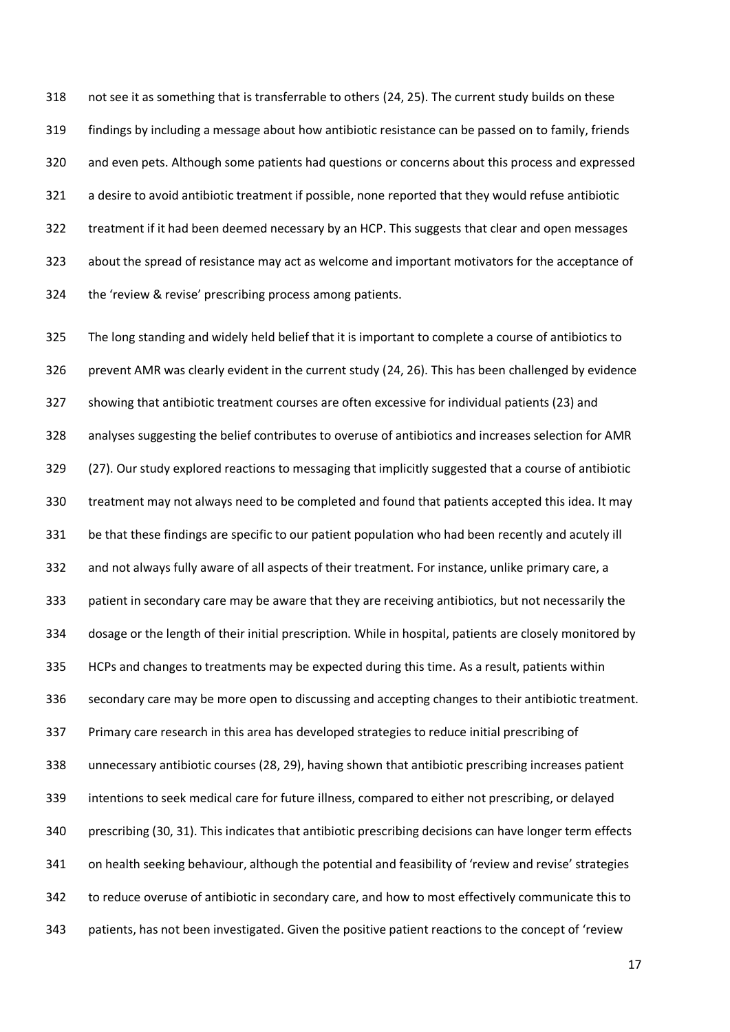not see it as something that is transferrable to others (24, 25). The current study builds on these findings by including a message about how antibiotic resistance can be passed on to family, friends and even pets. Although some patients had questions or concerns about this process and expressed a desire to avoid antibiotic treatment if possible, none reported that they would refuse antibiotic treatment if it had been deemed necessary by an HCP. This suggests that clear and open messages about the spread of resistance may act as welcome and important motivators for the acceptance of the 'review & revise' prescribing process among patients.

 The long standing and widely held belief that it is important to complete a course of antibiotics to prevent AMR was clearly evident in the current study (24, 26). This has been challenged by evidence showing that antibiotic treatment courses are often excessive for individual patients (23) and analyses suggesting the belief contributes to overuse of antibiotics and increases selection for AMR (27). Our study explored reactions to messaging that implicitly suggested that a course of antibiotic treatment may not always need to be completed and found that patients accepted this idea. It may be that these findings are specific to our patient population who had been recently and acutely ill and not always fully aware of all aspects of their treatment. For instance, unlike primary care, a patient in secondary care may be aware that they are receiving antibiotics, but not necessarily the dosage or the length of their initial prescription. While in hospital, patients are closely monitored by HCPs and changes to treatments may be expected during this time. As a result, patients within secondary care may be more open to discussing and accepting changes to their antibiotic treatment. Primary care research in this area has developed strategies to reduce initial prescribing of unnecessary antibiotic courses (28, 29), having shown that antibiotic prescribing increases patient intentions to seek medical care for future illness, compared to either not prescribing, or delayed prescribing (30, 31). This indicates that antibiotic prescribing decisions can have longer term effects on health seeking behaviour, although the potential and feasibility of 'review and revise' strategies to reduce overuse of antibiotic in secondary care, and how to most effectively communicate this to patients, has not been investigated. Given the positive patient reactions to the concept of 'review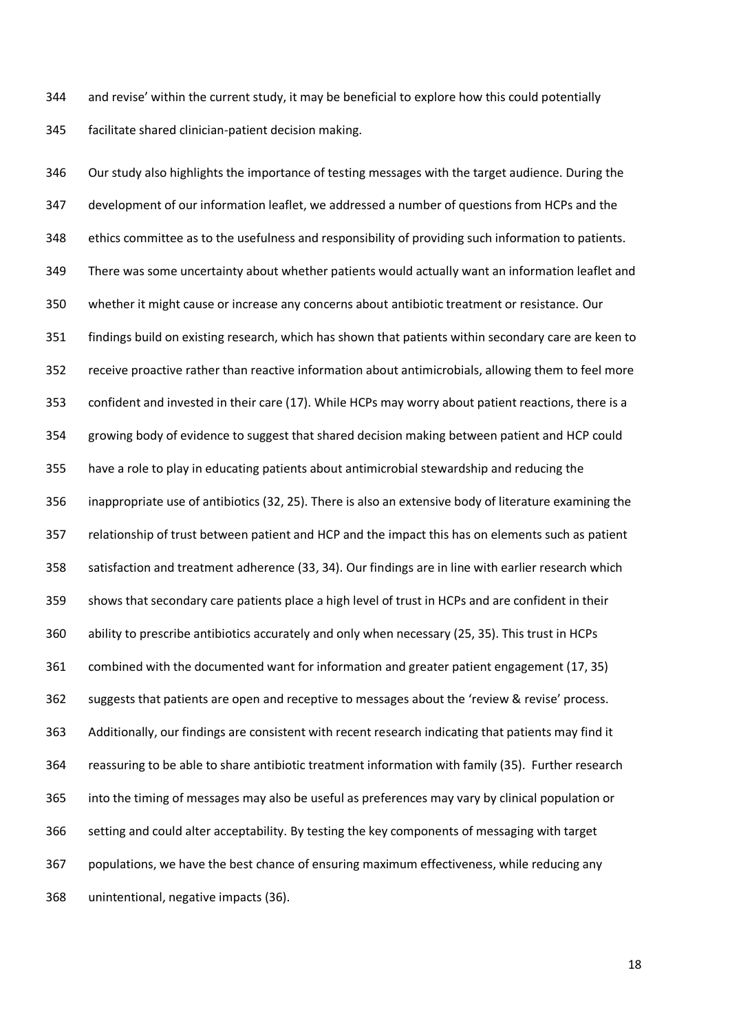and revise' within the current study, it may be beneficial to explore how this could potentially facilitate shared clinician-patient decision making.

 Our study also highlights the importance of testing messages with the target audience. During the development of our information leaflet, we addressed a number of questions from HCPs and the ethics committee as to the usefulness and responsibility of providing such information to patients. There was some uncertainty about whether patients would actually want an information leaflet and whether it might cause or increase any concerns about antibiotic treatment or resistance. Our findings build on existing research, which has shown that patients within secondary care are keen to receive proactive rather than reactive information about antimicrobials, allowing them to feel more confident and invested in their care (17). While HCPs may worry about patient reactions, there is a growing body of evidence to suggest that shared decision making between patient and HCP could have a role to play in educating patients about antimicrobial stewardship and reducing the inappropriate use of antibiotics (32, 25). There is also an extensive body of literature examining the relationship of trust between patient and HCP and the impact this has on elements such as patient satisfaction and treatment adherence (33, 34). Our findings are in line with earlier research which shows that secondary care patients place a high level of trust in HCPs and are confident in their ability to prescribe antibiotics accurately and only when necessary (25, 35). This trust in HCPs combined with the documented want for information and greater patient engagement (17, 35) suggests that patients are open and receptive to messages about the 'review & revise' process. Additionally, our findings are consistent with recent research indicating that patients may find it reassuring to be able to share antibiotic treatment information with family (35). Further research into the timing of messages may also be useful as preferences may vary by clinical population or setting and could alter acceptability. By testing the key components of messaging with target populations, we have the best chance of ensuring maximum effectiveness, while reducing any unintentional, negative impacts (36).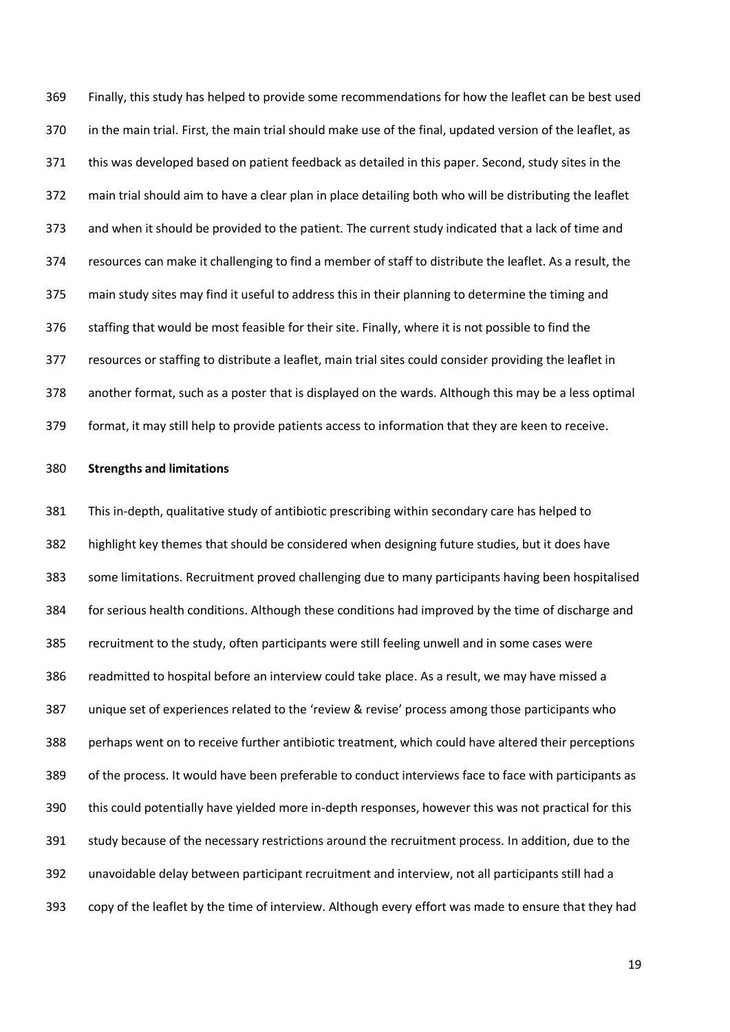Finally, this study has helped to provide some recommendations for how the leaflet can be best used in the main trial. First, the main trial should make use of the final, updated version of the leaflet, as this was developed based on patient feedback as detailed in this paper. Second, study sites in the main trial should aim to have a clear plan in place detailing both who will be distributing the leaflet and when it should be provided to the patient. The current study indicated that a lack of time and resources can make it challenging to find a member of staff to distribute the leaflet. As a result, the main study sites may find it useful to address this in their planning to determine the timing and staffing that would be most feasible for their site. Finally, where it is not possible to find the resources or staffing to distribute a leaflet, main trial sites could consider providing the leaflet in another format, such as a poster that is displayed on the wards. Although this may be a less optimal format, it may still help to provide patients access to information that they are keen to receive.

#### **Strengths and limitations**

 This in-depth, qualitative study of antibiotic prescribing within secondary care has helped to highlight key themes that should be considered when designing future studies, but it does have some limitations. Recruitment proved challenging due to many participants having been hospitalised for serious health conditions. Although these conditions had improved by the time of discharge and recruitment to the study, often participants were still feeling unwell and in some cases were readmitted to hospital before an interview could take place. As a result, we may have missed a unique set of experiences related to the 'review & revise' process among those participants who perhaps went on to receive further antibiotic treatment, which could have altered their perceptions of the process. It would have been preferable to conduct interviews face to face with participants as this could potentially have yielded more in-depth responses, however this was not practical for this study because of the necessary restrictions around the recruitment process. In addition, due to the unavoidable delay between participant recruitment and interview, not all participants still had a copy of the leaflet by the time of interview. Although every effort was made to ensure that they had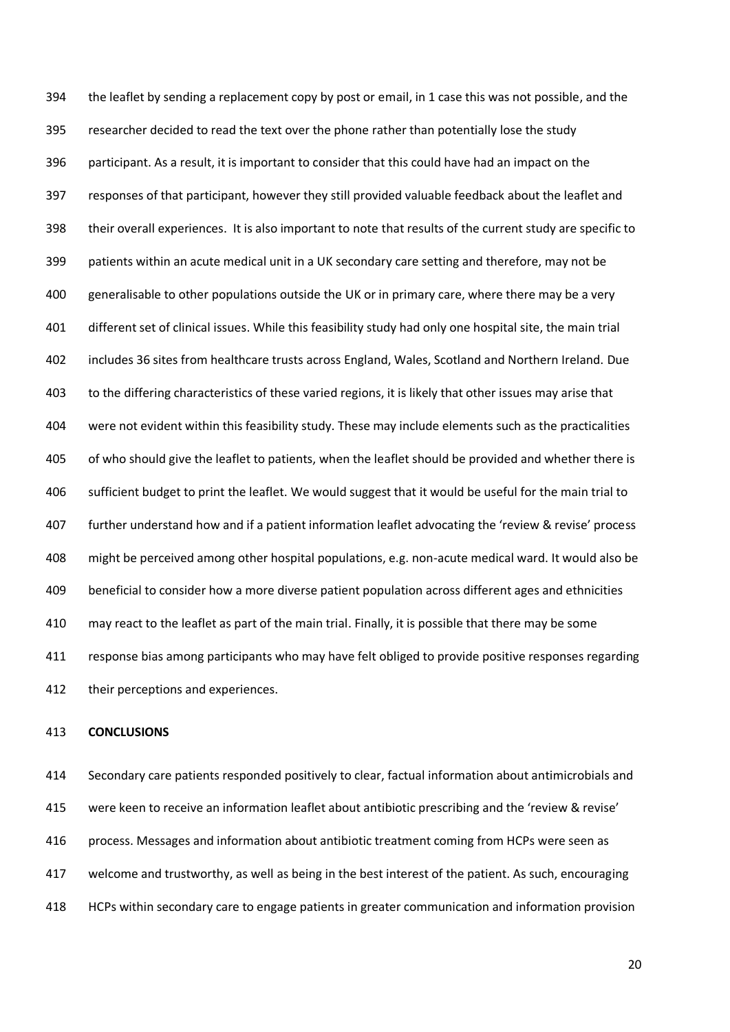the leaflet by sending a replacement copy by post or email, in 1 case this was not possible, and the researcher decided to read the text over the phone rather than potentially lose the study participant. As a result, it is important to consider that this could have had an impact on the responses of that participant, however they still provided valuable feedback about the leaflet and their overall experiences. It is also important to note that results of the current study are specific to patients within an acute medical unit in a UK secondary care setting and therefore, may not be generalisable to other populations outside the UK or in primary care, where there may be a very different set of clinical issues. While this feasibility study had only one hospital site, the main trial includes 36 sites from healthcare trusts across England, Wales, Scotland and Northern Ireland. Due to the differing characteristics of these varied regions, it is likely that other issues may arise that were not evident within this feasibility study. These may include elements such as the practicalities of who should give the leaflet to patients, when the leaflet should be provided and whether there is sufficient budget to print the leaflet. We would suggest that it would be useful for the main trial to further understand how and if a patient information leaflet advocating the 'review & revise' process might be perceived among other hospital populations, e.g. non-acute medical ward. It would also be beneficial to consider how a more diverse patient population across different ages and ethnicities may react to the leaflet as part of the main trial. Finally, it is possible that there may be some response bias among participants who may have felt obliged to provide positive responses regarding their perceptions and experiences.

#### **CONCLUSIONS**

 Secondary care patients responded positively to clear, factual information about antimicrobials and were keen to receive an information leaflet about antibiotic prescribing and the 'review & revise' 416 process. Messages and information about antibiotic treatment coming from HCPs were seen as welcome and trustworthy, as well as being in the best interest of the patient. As such, encouraging HCPs within secondary care to engage patients in greater communication and information provision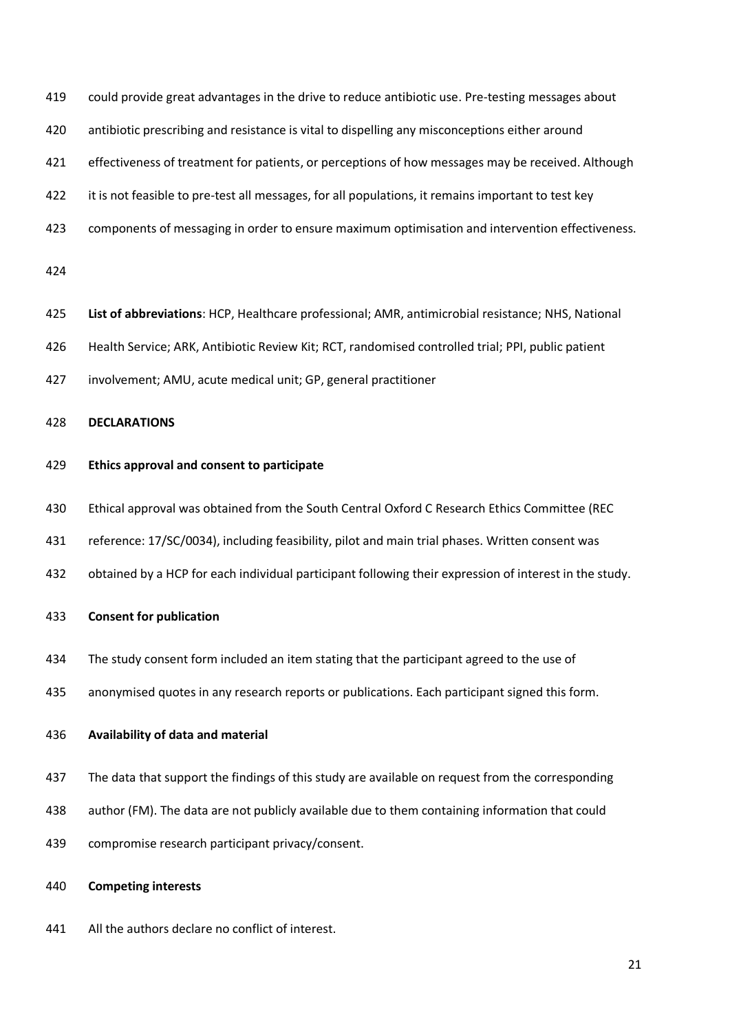- could provide great advantages in the drive to reduce antibiotic use. Pre-testing messages about
- antibiotic prescribing and resistance is vital to dispelling any misconceptions either around
- effectiveness of treatment for patients, or perceptions of how messages may be received. Although
- 422 it is not feasible to pre-test all messages, for all populations, it remains important to test key
- components of messaging in order to ensure maximum optimisation and intervention effectiveness.
- 
- **List of abbreviations**: HCP, Healthcare professional; AMR, antimicrobial resistance; NHS, National
- Health Service; ARK, Antibiotic Review Kit; RCT, randomised controlled trial; PPI, public patient
- involvement; AMU, acute medical unit; GP, general practitioner
- **DECLARATIONS**
- **Ethics approval and consent to participate**
- Ethical approval was obtained from the South Central Oxford C Research Ethics Committee (REC
- reference: 17/SC/0034), including feasibility, pilot and main trial phases. Written consent was
- obtained by a HCP for each individual participant following their expression of interest in the study.
- **Consent for publication**
- The study consent form included an item stating that the participant agreed to the use of
- anonymised quotes in any research reports or publications. Each participant signed this form.
- **Availability of data and material**
- The data that support the findings of this study are available on request from the corresponding
- author (FM). The data are not publicly available due to them containing information that could
- compromise research participant privacy/consent.
- **Competing interests**
- All the authors declare no conflict of interest.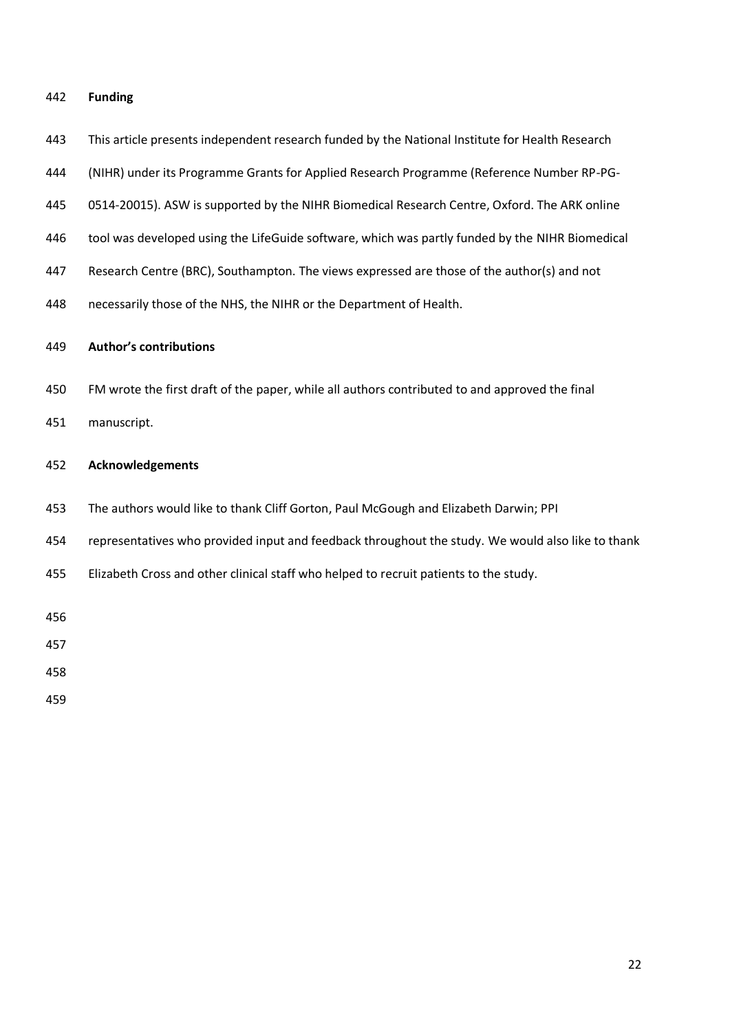#### **Funding**

- This article presents independent research funded by the National Institute for Health Research
- (NIHR) under its Programme Grants for Applied Research Programme (Reference Number RP-PG-
- 0514-20015). ASW is supported by the NIHR Biomedical Research Centre, Oxford. The ARK online
- tool was developed using the LifeGuide software, which was partly funded by the NIHR Biomedical
- 447 Research Centre (BRC), Southampton. The views expressed are those of the author(s) and not
- necessarily those of the NHS, the NIHR or the Department of Health.

# **Author's contributions**

FM wrote the first draft of the paper, while all authors contributed to and approved the final

manuscript.

# **Acknowledgements**

- The authors would like to thank Cliff Gorton, Paul McGough and Elizabeth Darwin; PPI
- representatives who provided input and feedback throughout the study. We would also like to thank
- Elizabeth Cross and other clinical staff who helped to recruit patients to the study.

- 
-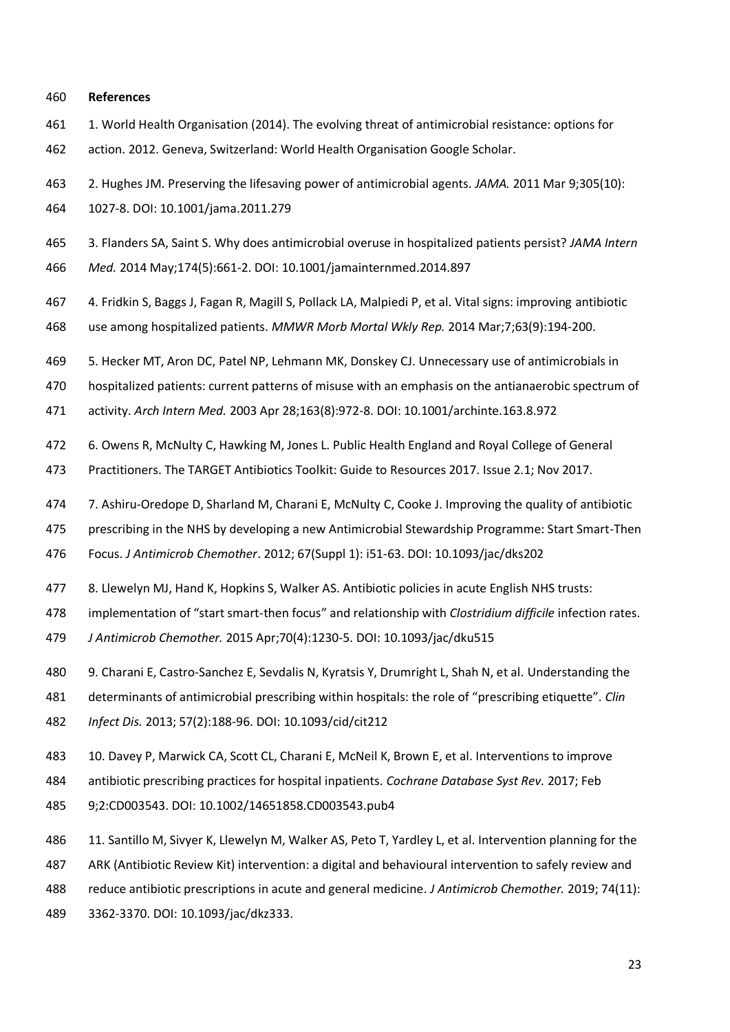#### **References**

- 1. World Health Organisation (2014). The evolving threat of antimicrobial resistance: options for
- action. 2012. Geneva, Switzerland: World Health Organisation Google Scholar.
- 2. Hughes JM. Preserving the lifesaving power of antimicrobial agents*. JAMA.* 2011 Mar 9;305(10):
- 1027-8. DOI: 10.1001/jama.2011.279
- 3. Flanders SA, Saint S. Why does antimicrobial overuse in hospitalized patients persist? *JAMA Intern*
- *Med.* 2014 May;174(5):661-2. DOI: 10.1001/jamainternmed.2014.897
- 4. Fridkin S, Baggs J, Fagan R, Magill S, Pollack LA, Malpiedi P, et al. Vital signs: improving antibiotic
- use among hospitalized patients. *MMWR Morb Mortal Wkly Rep.* 2014 Mar;7;63(9):194-200.
- 5. Hecker MT, Aron DC, Patel NP, Lehmann MK, Donskey CJ. Unnecessary use of antimicrobials in
- hospitalized patients: current patterns of misuse with an emphasis on the antianaerobic spectrum of
- activity. *Arch Intern Med.* 2003 Apr 28;163(8):972-8. DOI: 10.1001/archinte.163.8.972
- 6. Owens R, McNulty C, Hawking M, Jones L. Public Health England and Royal College of General
- Practitioners. The TARGET Antibiotics Toolkit: Guide to Resources 2017. Issue 2.1; Nov 2017.
- 7. Ashiru-Oredope D, Sharland M, Charani E, McNulty C, Cooke J. Improving the quality of antibiotic
- prescribing in the NHS by developing a new Antimicrobial Stewardship Programme: Start Smart-Then
- Focus. *J Antimicrob Chemother*. 2012; 67(Suppl 1): i51-63. DOI: 10.1093/jac/dks202
- 8. Llewelyn MJ, Hand K, Hopkins S, Walker AS. Antibiotic policies in acute English NHS trusts:
- implementation of "start smart-then focus" and relationship with *Clostridium difficile* infection rates.
- *J Antimicrob Chemother.* 2015 Apr;70(4):1230-5. DOI: 10.1093/jac/dku515
- 9. Charani E, Castro-Sanchez E, Sevdalis N, Kyratsis Y, Drumright L, Shah N, et al. Understanding the
- determinants of antimicrobial prescribing within hospitals: the role of "prescribing etiquette". *Clin*
- *Infect Dis.* 2013; 57(2):188-96. DOI: 10.1093/cid/cit212
- 10. Davey P, Marwick CA, Scott CL, Charani E, McNeil K, Brown E, et al. Interventions to improve
- antibiotic prescribing practices for hospital inpatients. *Cochrane Database Syst Rev.* 2017; Feb
- 9;2:CD003543. DOI: 10.1002/14651858.CD003543.pub4
- 11. Santillo M, Sivyer K, Llewelyn M, Walker AS, Peto T, Yardley L, et al. Intervention planning for the
- ARK (Antibiotic Review Kit) intervention: a digital and behavioural intervention to safely review and
- reduce antibiotic prescriptions in acute and general medicine. *J Antimicrob Chemother.* 2019; 74(11):
- 3362-3370. DOI: 10.1093/jac/dkz333.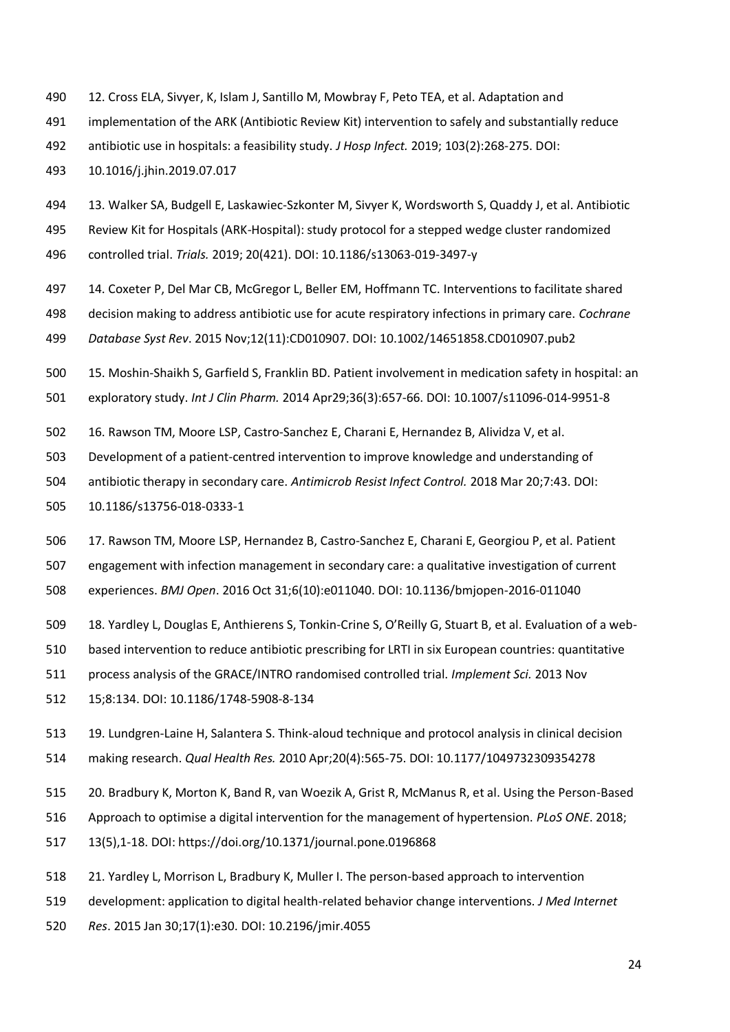- 12. Cross ELA, Sivyer, K, Islam J, Santillo M, Mowbray F, Peto TEA, et al. Adaptation and
- implementation of the ARK (Antibiotic Review Kit) intervention to safely and substantially reduce
- antibiotic use in hospitals: a feasibility study. *J Hosp Infect.* 2019; 103(2):268-275. DOI:
- 10.1016/j.jhin.2019.07.017
- 13. Walker SA, Budgell E, Laskawiec-Szkonter M, Sivyer K, Wordsworth S, Quaddy J, et al. Antibiotic
- Review Kit for Hospitals (ARK-Hospital): study protocol for a stepped wedge cluster randomized
- controlled trial. *Trials.* 2019; 20(421). DOI: 10.1186/s13063-019-3497-y
- 14. Coxeter P, Del Mar CB, McGregor L, Beller EM, Hoffmann TC. Interventions to facilitate shared decision making to address antibiotic use for acute respiratory infections in primary care. *Cochrane*
- *Database Syst Rev*. 2015 Nov;12(11):CD010907. DOI: 10.1002/14651858.CD010907.pub2
- 15. Moshin-Shaikh S, Garfield S, Franklin BD. Patient involvement in medication safety in hospital: an exploratory study. *Int J Clin Pharm.* 2014 Apr29;36(3):657-66. DOI: 10.1007/s11096-014-9951-8
- 16. Rawson TM, Moore LSP, Castro-Sanchez E, Charani E, Hernandez B, Alividza V, et al.
- Development of a patient-centred intervention to improve knowledge and understanding of
- antibiotic therapy in secondary care. *Antimicrob Resist Infect Control.* 2018 Mar 20;7:43. DOI:
- 10.1186/s13756-018-0333-1
- 17. Rawson TM, Moore LSP, Hernandez B, Castro-Sanchez E, Charani E, Georgiou P, et al. Patient engagement with infection management in secondary care: a qualitative investigation of current experiences. *BMJ Open*. 2016 Oct 31;6(10):e011040. DOI: 10.1136/bmjopen-2016-011040
- 18. Yardley L, Douglas E, Anthierens S, Tonkin-Crine S, O'Reilly G, Stuart B, et al. Evaluation of a web-
- based intervention to reduce antibiotic prescribing for LRTI in six European countries: quantitative
- process analysis of the GRACE/INTRO randomised controlled trial. *Implement Sci.* 2013 Nov
- 15;8:134. DOI: 10.1186/1748-5908-8-134
- 19. Lundgren-Laine H, Salantera S. Think-aloud technique and protocol analysis in clinical decision making research. *Qual Health Res.* 2010 Apr;20(4):565-75. DOI: 10.1177/1049732309354278
- 20. Bradbury K, Morton K, Band R, van Woezik A, Grist R, McManus R, et al. Using the Person-Based
- Approach to optimise a digital intervention for the management of hypertension. *PLoS ONE*. 2018;
- 13(5),1-18. DOI: https://doi.org/10.1371/journal.pone.0196868
- 21. Yardley L, Morrison L, Bradbury K, Muller I. The person-based approach to intervention
- development: application to digital health-related behavior change interventions. *J Med Internet*
- *Res*. 2015 Jan 30;17(1):e30. DOI: 10.2196/jmir.4055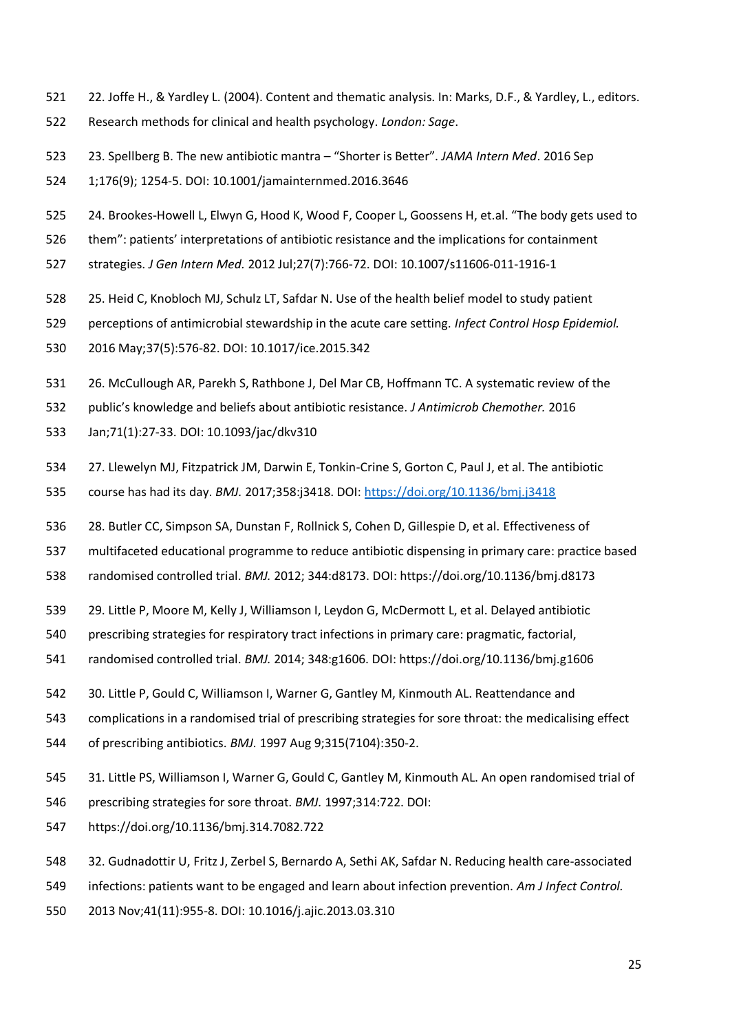- 22. Joffe H., & Yardley L. (2004). Content and thematic analysis. In: Marks, D.F., & Yardley, L., editors.
- Research methods for clinical and health psychology. *London: Sage*.
- 23. Spellberg B. The new antibiotic mantra "Shorter is Better". *JAMA Intern Med*. 2016 Sep
- 1;176(9); 1254-5. DOI: 10.1001/jamainternmed.2016.3646
- 24. Brookes-Howell L, Elwyn G, Hood K, Wood F, Cooper L, Goossens H, et.al. "The body gets used to
- them": patients' interpretations of antibiotic resistance and the implications for containment
- strategies. *J Gen Intern Med.* 2012 Jul;27(7):766-72. DOI: 10.1007/s11606-011-1916-1
- 25. Heid C, Knobloch MJ, Schulz LT, Safdar N. Use of the health belief model to study patient
- perceptions of antimicrobial stewardship in the acute care setting. *Infect Control Hosp Epidemiol.*
- 2016 May;37(5):576-82. DOI: 10.1017/ice.2015.342
- 26. McCullough AR, Parekh S, Rathbone J, Del Mar CB, Hoffmann TC. A systematic review of the
- public's knowledge and beliefs about antibiotic resistance. *J Antimicrob Chemother.* 2016
- Jan;71(1):27-33. DOI: 10.1093/jac/dkv310
- 27. Llewelyn MJ, Fitzpatrick JM, Darwin E, Tonkin-Crine S, Gorton C, Paul J, et al. The antibiotic
- course has had its day. *BMJ.* 2017;358:j3418. DOI:<https://doi.org/10.1136/bmj.j3418>
- 28. Butler CC, Simpson SA, Dunstan F, Rollnick S, Cohen D, Gillespie D, et al. Effectiveness of
- multifaceted educational programme to reduce antibiotic dispensing in primary care: practice based
- randomised controlled trial. *BMJ.* 2012; 344:d8173. DOI: https://doi.org/10.1136/bmj.d8173
- 29. Little P, Moore M, Kelly J, Williamson I, Leydon G, McDermott L, et al. Delayed antibiotic
- prescribing strategies for respiratory tract infections in primary care: pragmatic, factorial,
- randomised controlled trial. *BMJ.* 2014; 348:g1606. DOI: https://doi.org/10.1136/bmj.g1606
- 30. Little P, Gould C, Williamson I, Warner G, Gantley M, Kinmouth AL. Reattendance and
- complications in a randomised trial of prescribing strategies for sore throat: the medicalising effect
- of prescribing antibiotics. *BMJ.* 1997 Aug 9;315(7104):350-2.
- 31. Little PS, Williamson I, Warner G, Gould C, Gantley M, Kinmouth AL. An open randomised trial of
- prescribing strategies for sore throat. *BMJ.* 1997;314:722. DOI:
- https://doi.org/10.1136/bmj.314.7082.722
- 32. Gudnadottir U, Fritz J, Zerbel S, Bernardo A, Sethi AK, Safdar N. Reducing health care-associated
- infections: patients want to be engaged and learn about infection prevention. *Am J Infect Control.*
- 2013 Nov;41(11):955-8. DOI: 10.1016/j.ajic.2013.03.310